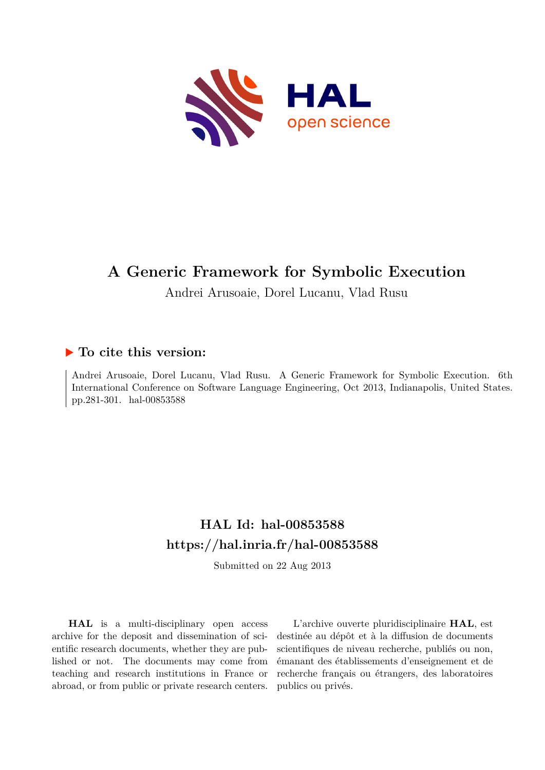

# **A Generic Framework for Symbolic Execution**

Andrei Arusoaie, Dorel Lucanu, Vlad Rusu

## **To cite this version:**

Andrei Arusoaie, Dorel Lucanu, Vlad Rusu. A Generic Framework for Symbolic Execution. 6th International Conference on Software Language Engineering, Oct 2013, Indianapolis, United States. pp.281-301. hal-00853588

## **HAL Id: hal-00853588 <https://hal.inria.fr/hal-00853588>**

Submitted on 22 Aug 2013

**HAL** is a multi-disciplinary open access archive for the deposit and dissemination of scientific research documents, whether they are published or not. The documents may come from teaching and research institutions in France or abroad, or from public or private research centers.

L'archive ouverte pluridisciplinaire **HAL**, est destinée au dépôt et à la diffusion de documents scientifiques de niveau recherche, publiés ou non, émanant des établissements d'enseignement et de recherche français ou étrangers, des laboratoires publics ou privés.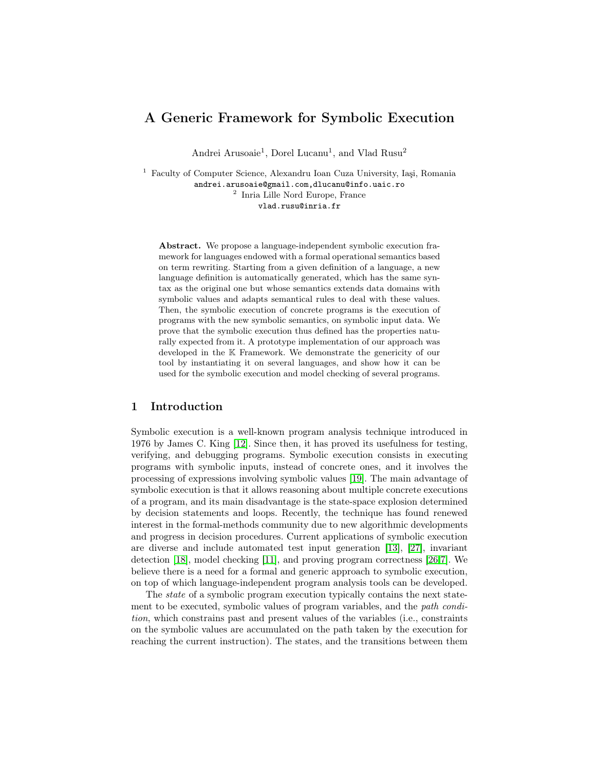### A Generic Framework for Symbolic Execution

Andrei Arusoaie<sup>1</sup>, Dorel Lucanu<sup>1</sup>, and Vlad Rusu<sup>2</sup>

<sup>1</sup> Faculty of Computer Science, Alexandru Ioan Cuza University, Iaşi, Romania andrei.arusoaie@gmail.com,dlucanu@info.uaic.ro 2 Inria Lille Nord Europe, France vlad.rusu@inria.fr

Abstract. We propose a language-independent symbolic execution framework for languages endowed with a formal operational semantics based on term rewriting. Starting from a given definition of a language, a new language definition is automatically generated, which has the same syntax as the original one but whose semantics extends data domains with symbolic values and adapts semantical rules to deal with these values. Then, the symbolic execution of concrete programs is the execution of programs with the new symbolic semantics, on symbolic input data. We prove that the symbolic execution thus defined has the properties naturally expected from it. A prototype implementation of our approach was developed in the K Framework. We demonstrate the genericity of our tool by instantiating it on several languages, and show how it can be used for the symbolic execution and model checking of several programs.

### 1 Introduction

Symbolic execution is a well-known program analysis technique introduced in 1976 by James C. King [12]. Since then, it has proved its usefulness for testing, verifying, and debugging programs. Symbolic execution consists in executing programs with symbolic inputs, instead of concrete ones, and it involves the processing of expressions involving symbolic values [19]. The main advantage of symbolic execution is that it allows reasoning about multiple concrete executions of a program, and its main disadvantage is the state-space explosion determined by decision statements and loops. Recently, the technique has found renewed interest in the formal-methods community due to new algorithmic developments and progress in decision procedures. Current applications of symbolic execution are diverse and include automated test input generation [13], [27], invariant detection [18], model checking [11], and proving program correctness [26,7]. We believe there is a need for a formal and generic approach to symbolic execution, on top of which language-independent program analysis tools can be developed.

The *state* of a symbolic program execution typically contains the next statement to be executed, symbolic values of program variables, and the path condition, which constrains past and present values of the variables (i.e., constraints on the symbolic values are accumulated on the path taken by the execution for reaching the current instruction). The states, and the transitions between them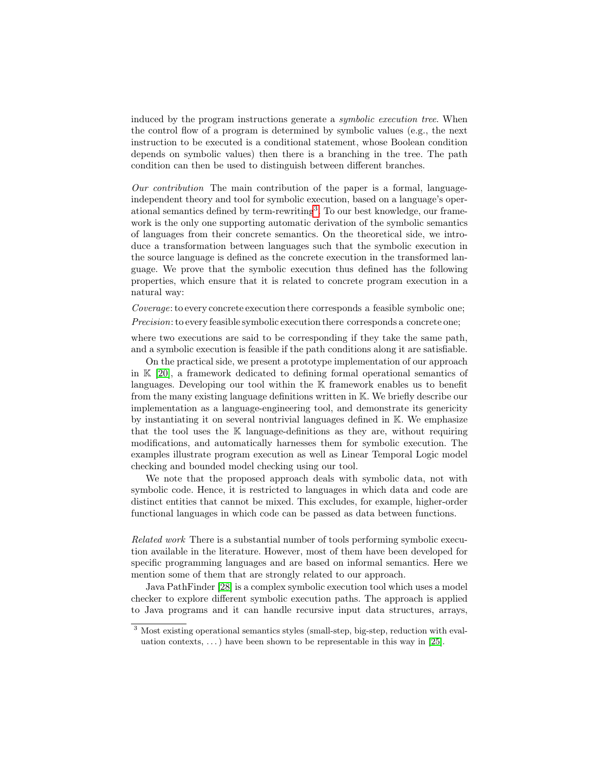induced by the program instructions generate a *symbolic execution tree*. When the control flow of a program is determined by symbolic values (e.g., the next instruction to be executed is a conditional statement, whose Boolean condition depends on symbolic values) then there is a branching in the tree. The path condition can then be used to distinguish between different branches.

Our contribution The main contribution of the paper is a formal, languageindependent theory and tool for symbolic execution, based on a language's operational semantics defined by term-rewriting<sup>3</sup>. To our best knowledge, our framework is the only one supporting automatic derivation of the symbolic semantics of languages from their concrete semantics. On the theoretical side, we introduce a transformation between languages such that the symbolic execution in the source language is defined as the concrete execution in the transformed language. We prove that the symbolic execution thus defined has the following properties, which ensure that it is related to concrete program execution in a natural way:

Coverage: to every concrete execution there corresponds a feasible symbolic one;

Precision: to every feasible symbolic execution there corresponds a concrete one;

where two executions are said to be corresponding if they take the same path, and a symbolic execution is feasible if the path conditions along it are satisfiable.

On the practical side, we present a prototype implementation of our approach in K [20], a framework dedicated to defining formal operational semantics of languages. Developing our tool within the K framework enables us to benefit from the many existing language definitions written in K. We briefly describe our implementation as a language-engineering tool, and demonstrate its genericity by instantiating it on several nontrivial languages defined in K. We emphasize that the tool uses the  $\mathbb K$  language-definitions as they are, without requiring modifications, and automatically harnesses them for symbolic execution. The examples illustrate program execution as well as Linear Temporal Logic model checking and bounded model checking using our tool.

We note that the proposed approach deals with symbolic data, not with symbolic code. Hence, it is restricted to languages in which data and code are distinct entities that cannot be mixed. This excludes, for example, higher-order functional languages in which code can be passed as data between functions.

Related work There is a substantial number of tools performing symbolic execution available in the literature. However, most of them have been developed for specific programming languages and are based on informal semantics. Here we mention some of them that are strongly related to our approach.

Java PathFinder [28] is a complex symbolic execution tool which uses a model checker to explore different symbolic execution paths. The approach is applied to Java programs and it can handle recursive input data structures, arrays,

<sup>&</sup>lt;sup>3</sup> Most existing operational semantics styles (small-step, big-step, reduction with evaluation contexts,  $\dots$ ) have been shown to be representable in this way in [25].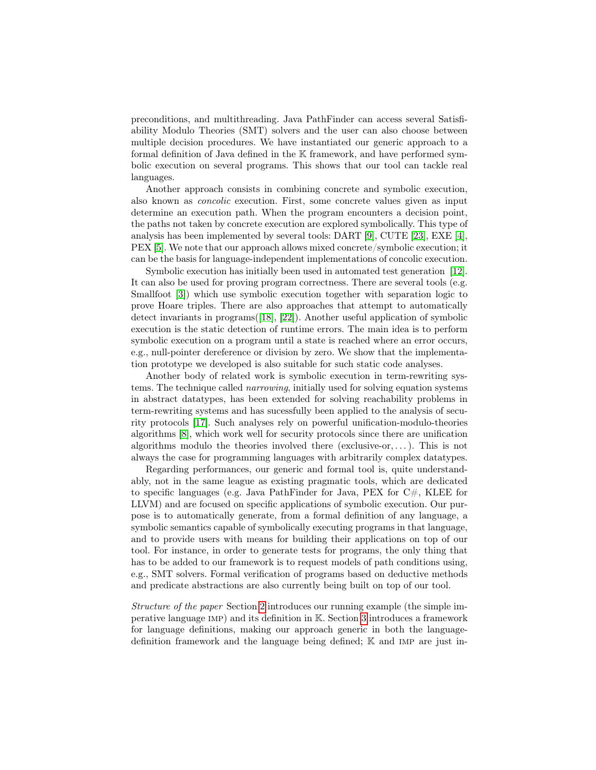preconditions, and multithreading. Java PathFinder can access several Satisfiability Modulo Theories (SMT) solvers and the user can also choose between multiple decision procedures. We have instantiated our generic approach to a formal definition of Java defined in the K framework, and have performed symbolic execution on several programs. This shows that our tool can tackle real languages.

Another approach consists in combining concrete and symbolic execution, also known as concolic execution. First, some concrete values given as input determine an execution path. When the program encounters a decision point, the paths not taken by concrete execution are explored symbolically. This type of analysis has been implemented by several tools: DART [9], CUTE [23], EXE [4], PEX [5]. We note that our approach allows mixed concrete/symbolic execution; it can be the basis for language-independent implementations of concolic execution.

Symbolic execution has initially been used in automated test generation [12]. It can also be used for proving program correctness. There are several tools (e.g. Smallfoot [3]) which use symbolic execution together with separation logic to prove Hoare triples. There are also approaches that attempt to automatically detect invariants in programs([18], [22]). Another useful application of symbolic execution is the static detection of runtime errors. The main idea is to perform symbolic execution on a program until a state is reached where an error occurs, e.g., null-pointer dereference or division by zero. We show that the implementation prototype we developed is also suitable for such static code analyses.

Another body of related work is symbolic execution in term-rewriting systems. The technique called narrowing, initially used for solving equation systems in abstract datatypes, has been extended for solving reachability problems in term-rewriting systems and has sucessfully been applied to the analysis of security protocols [17]. Such analyses rely on powerful unification-modulo-theories algorithms [8], which work well for security protocols since there are unification algorithms modulo the theories involved there (exclusive-or,  $\dots$ ). This is not always the case for programming languages with arbitrarily complex datatypes.

Regarding performances, our generic and formal tool is, quite understandably, not in the same league as existing pragmatic tools, which are dedicated to specific languages (e.g. Java PathFinder for Java, PEX for  $C#$ , KLEE for LLVM) and are focused on specific applications of symbolic execution. Our purpose is to automatically generate, from a formal definition of any language, a symbolic semantics capable of symbolically executing programs in that language, and to provide users with means for building their applications on top of our tool. For instance, in order to generate tests for programs, the only thing that has to be added to our framework is to request models of path conditions using, e.g., SMT solvers. Formal verification of programs based on deductive methods and predicate abstractions are also currently being built on top of our tool.

Structure of the paper Section 2 introduces our running example (the simple imperative language imp) and its definition in K. Section 3 introduces a framework for language definitions, making our approach generic in both the languagedefinition framework and the language being defined;  $\mathbb{K}$  and IMP are just in-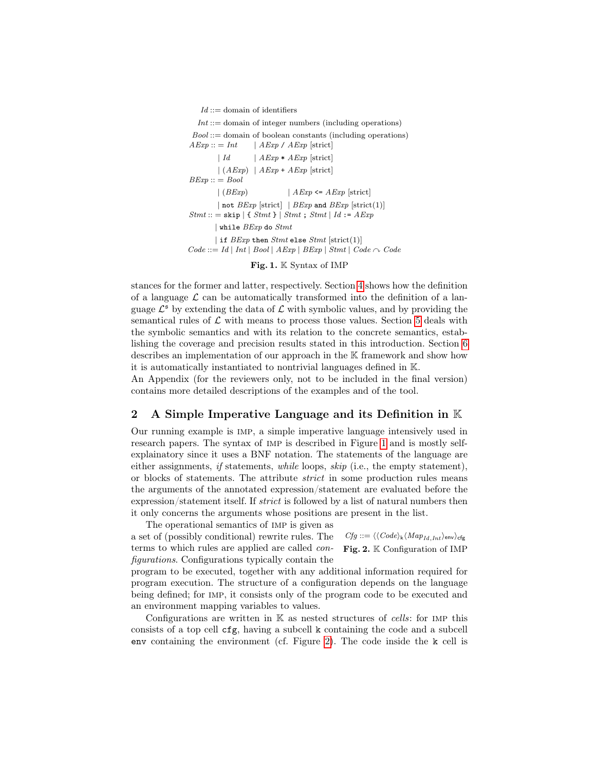$Id ::=$  domain of identifiers  $Int ::=$  domain of integer numbers (including operations)  $Bool ::=$  domain of boolean constants (including operations)  $AExp :: = Int$  |  $AExp / AExp$  [strict] |  $Id$  |  $AExp * AExp$  [strict]  $|(AExp)$   $|AExp + AExp$  [strict]  $BExp :: = Bool$  $| (BExp)$   $| AExp \leq AExp$  [strict] | not  $BExp$  [strict] |  $BExp$  and  $BExp$  [strict(1)]  $Stmt ::=$ skip  $\vert$  {  $Stmt$  }  $\vert$   $Stmt$  ;  $Stmt$   $\vert$   $Id := AExp$ | while BExp do Stmt | if  $BExp$  then  $Stmt$  else  $Stmt$  [strict(1)]  $Code ::= Id | Int | Bool | AExp | BExp | Stmt | Code \cap Code$ 

Fig. 1. K Syntax of IMP

stances for the former and latter, respectively. Section 4 shows how the definition of a language  $\mathcal L$  can be automatically transformed into the definition of a language  $\mathcal{L}^{\mathfrak{s}}$  by extending the data of  $\mathcal L$  with symbolic values, and by providing the semantical rules of  $\mathcal L$  with means to process those values. Section 5 deals with the symbolic semantics and with its relation to the concrete semantics, establishing the coverage and precision results stated in this introduction. Section 6 describes an implementation of our approach in the K framework and show how it is automatically instantiated to nontrivial languages defined in K.

An Appendix (for the reviewers only, not to be included in the final version) contains more detailed descriptions of the examples and of the tool.

### 2 A Simple Imperative Language and its Definition in K

Our running example is imp, a simple imperative language intensively used in research papers. The syntax of IMP is described in Figure 1 and is mostly selfexplainatory since it uses a BNF notation. The statements of the language are either assignments, if statements, while loops,  $skip$  (i.e., the empty statement), or blocks of statements. The attribute strict in some production rules means the arguments of the annotated expression/statement are evaluated before the expression/statement itself. If *strict* is followed by a list of natural numbers then it only concerns the arguments whose positions are present in the list.

The operational semantics of imp is given as

 $Cfg ::= \langle \langle Code \rangle_k \langle Map_{Id,Int} \rangle_{env} \rangle_{cfg}$ Fig. 2. K Configuration of IMP a set of (possibly conditional) rewrite rules. The terms to which rules are applied are called configurations. Configurations typically contain the

program to be executed, together with any additional information required for program execution. The structure of a configuration depends on the language being defined; for imp, it consists only of the program code to be executed and an environment mapping variables to values.

Configurations are written in  $\mathbb K$  as nested structures of cells: for IMP this consists of a top cell cfg, having a subcell k containing the code and a subcell env containing the environment (cf. Figure 2). The code inside the k cell is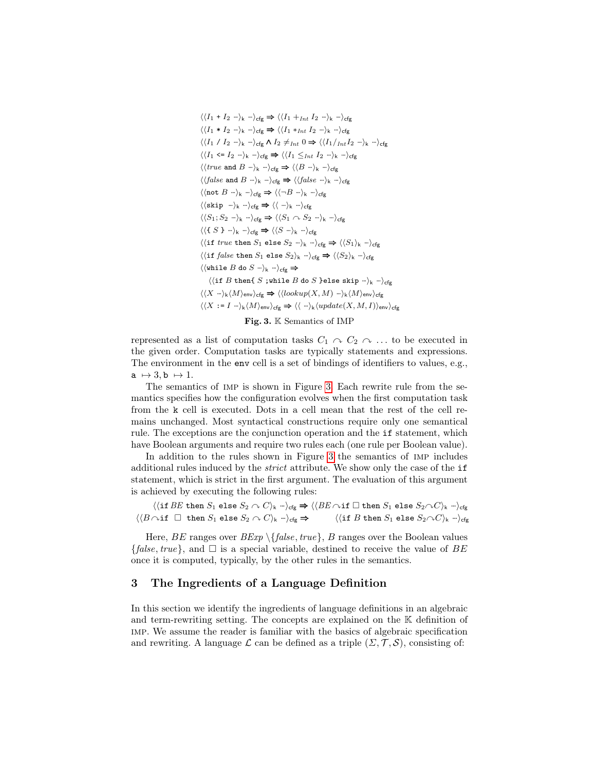$$
\langle\langle I_1 + I_2 - \rangle_k - \rangle_{\text{tr}} \Rightarrow \langle\langle I_1 + I_{\text{int}} I_2 - \rangle_k - \rangle_{\text{tr}}
$$
\n
$$
\langle\langle I_1 * I_2 - \rangle_k - \rangle_{\text{cfg}} \Rightarrow \langle\langle I_1 * I_{\text{int}} I_2 - \rangle_k - \rangle_{\text{cfg}}
$$
\n
$$
\langle\langle I_1 / I_2 - \rangle_k - \rangle_{\text{cfg}} \land I_2 \neq_{\text{Int}} 0 \Rightarrow \langle\langle I_1 / I_{\text{int}} I_2 - \rangle_k - \rangle_{\text{cfg}}
$$
\n
$$
\langle\langle I_1 \langle I_2 - I_2 - \rangle_k - \rangle_{\text{cfg}} \Rightarrow \langle\langle I_1 \leq_{\text{Int}} I_2 - \rangle_k - \rangle_{\text{cfg}}
$$
\n
$$
\langle\langle \text{true and } B - \rangle_k - \rangle_{\text{cfg}} \Rightarrow \langle\langle B - \rangle_k - \rangle_{\text{cfg}}
$$
\n
$$
\langle\langle \text{false and } B - \rangle_k - \rangle_{\text{cfg}} \Rightarrow \langle\langle \text{false } - \rangle_k - \rangle_{\text{cfg}}
$$
\n
$$
\langle\langle \text{note } B - \rangle_k - \rangle_{\text{cfg}} \Rightarrow \langle\langle \text{false } - \rangle_k - \rangle_{\text{cfg}}
$$
\n
$$
\langle\langle \text{skip } - \rangle_k - \rangle_{\text{cfg}} \Rightarrow \langle\langle \neg B - \rangle_k - \rangle_{\text{cfg}}
$$
\n
$$
\langle\langle \text{skip } \rangle_k - \rangle_{\text{cfg}} \Rightarrow \langle\langle \neg B - \rangle_k - \rangle_{\text{cfg}}
$$
\n
$$
\langle\langle \text{skip } \rangle_k - \rangle_{\text{cfg}} \Rightarrow \langle\langle S_1 \rangle - \rangle_{\text{cfg}}
$$
\n
$$
\langle\langle \text{f } S \} - \rangle_k - \rangle_{\text{cfg}} \Rightarrow \langle\langle S_1 \rangle - \rangle_{\text{cfg}} \Rightarrow \langle\langle S_1 \rangle_k - \rangle_{\text{cfg}}
$$
\n
$$
\langle\langle \text{if true then } S_1 \text{ else } S_2 - \rangle_k - \rangle_{\text{cfg}} \Rightarrow \langle\langle S_1 \rangle_k - \rangle_{\text{cfg}}
$$
\n
$$
\langle
$$

Fig. 3. K Semantics of IMP

represented as a list of computation tasks  $C_1 \cap C_2 \cap \ldots$  to be executed in the given order. Computation tasks are typically statements and expressions. The environment in the env cell is a set of bindings of identifiers to values, e.g.,  $a \mapsto 3$ ,  $b \mapsto 1$ .

The semantics of imp is shown in Figure 3. Each rewrite rule from the semantics specifies how the configuration evolves when the first computation task from the k cell is executed. Dots in a cell mean that the rest of the cell remains unchanged. Most syntactical constructions require only one semantical rule. The exceptions are the conjunction operation and the if statement, which have Boolean arguments and require two rules each (one rule per Boolean value).

In addition to the rules shown in Figure 3 the semantics of imp includes additional rules induced by the *strict* attribute. We show only the case of the if statement, which is strict in the first argument. The evaluation of this argument is achieved by executing the following rules:

 $\langle\langle \text{if }BE \text{ then } S_1 \text{ else } S_2 \cap C\rangle_{\mathsf{k}} \rightarrow \langle\langle BE \cap \text{if } \Box \text{ then } S_1 \text{ else } S_2 \cap C\rangle_{\mathsf{k}} \rightarrowtail_{\text{cfg}}$  $\langle\langle B\cap \texttt{if}\ \Box \ \texttt{then}\ S_1 \texttt{else}\ S_2 \cap C\rangle_{\mathsf{k}} \rightarrowtail_{\texttt{cfg}} \Rightarrow \quad \quad \langle\langle \texttt{if}\ B \texttt{then}\ S_1 \texttt{else}\ S_2 \cap C\rangle_{\mathsf{k}} \rightarrowtail_{\texttt{cfg}} \rangle$ 

Here, BE ranges over  $BExp \setminus \{false, true\}$ , B ranges over the Boolean values  ${false, true}$ , and  $\square$  is a special variable, destined to receive the value of BE once it is computed, typically, by the other rules in the semantics.

### 3 The Ingredients of a Language Definition

In this section we identify the ingredients of language definitions in an algebraic and term-rewriting setting. The concepts are explained on the  $K$  definition of imp. We assume the reader is familiar with the basics of algebraic specification and rewriting. A language  $\mathcal L$  can be defined as a triple  $(\Sigma, \mathcal T, \mathcal S)$ , consisting of: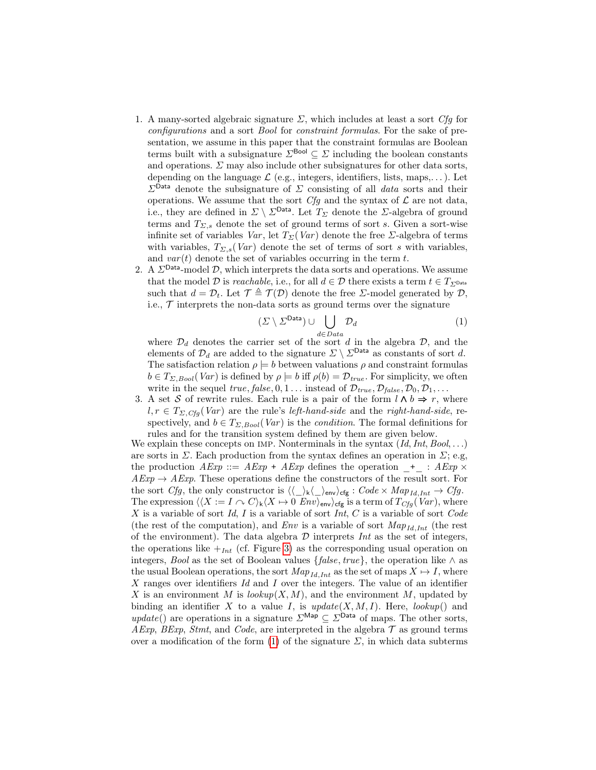- 1. A many-sorted algebraic signature  $\Sigma$ , which includes at least a sort *Cfg* for configurations and a sort Bool for constraint formulas. For the sake of presentation, we assume in this paper that the constraint formulas are Boolean terms built with a subsignature  $\Sigma^{\text{Bool}} \subseteq \Sigma$  including the boolean constants and operations.  $\Sigma$  may also include other subsignatures for other data sorts, depending on the language  $\mathcal{L}$  (e.g., integers, identifiers, lists, maps,...). Let  $\Sigma^{\text{Data}}$  denote the subsignature of  $\Sigma$  consisting of all *data* sorts and their operations. We assume that the sort  $Cfg$  and the syntax of  $\mathcal L$  are not data, i.e., they are defined in  $\Sigma \setminus \Sigma^{\text{Data}}$ . Let  $T_{\Sigma}$  denote the  $\Sigma$ -algebra of ground terms and  $T_{\Sigma,s}$  denote the set of ground terms of sort s. Given a sort-wise infinite set of variables  $Var$ , let  $T_{\Sigma}(Var)$  denote the free  $\Sigma$ -algebra of terms with variables,  $T_{\Sigma,s}(Var)$  denote the set of terms of sort s with variables, and  $var(t)$  denote the set of variables occurring in the term t.
- 2. A  $\Sigma^{\text{Data}}$ -model  $\mathcal{D}$ , which interprets the data sorts and operations. We assume that the model D is reachable, i.e., for all  $d \in \mathcal{D}$  there exists a term  $t \in T_{\Sigma^{\text{Data}}}$ such that  $d = \mathcal{D}_t$ . Let  $\mathcal{T} \triangleq \mathcal{T}(\mathcal{D})$  denote the free  $\Sigma$ -model generated by  $\mathcal{D}$ , i.e.,  $\mathcal T$  interprets the non-data sorts as ground terms over the signature

$$
(\Sigma \setminus \Sigma^{\text{Data}}) \cup \bigcup_{d \in Data} \mathcal{D}_d \tag{1}
$$

where  $\mathcal{D}_d$  denotes the carrier set of the sort d in the algebra  $\mathcal{D}$ , and the elements of  $\mathcal{D}_d$  are added to the signature  $\Sigma \setminus \Sigma^{\text{Data}}$  as constants of sort d. The satisfaction relation  $\rho \models b$  between valuations  $\rho$  and constraint formulas  $b \in T_{\Sigma,Bool}(Var)$  is defined by  $\rho \models b$  iff  $\rho(b) = \mathcal{D}_{true}$ . For simplicity, we often write in the sequel  $true, false, 0, 1...$  instead of  $\mathcal{D}_{true}, \mathcal{D}_{false}, \mathcal{D}_0, \mathcal{D}_1, ...$ 

3. A set S of rewrite rules. Each rule is a pair of the form  $l \wedge b \Rightarrow r$ , where  $l, r \in T_{\Sigma, Cfg}(Var)$  are the rule's *left-hand-side* and the *right-hand-side*, respectively, and  $b \in T_{\Sigma, Bool}(Var)$  is the *condition*. The formal definitions for rules and for the transition system defined by them are given below.

We explain these concepts on IMP. Nonterminals in the syntax  $(Id, Int, Bool, ...)$ are sorts in  $\Sigma$ . Each production from the syntax defines an operation in  $\Sigma$ ; e.g, the production  $AExp ::= AExp + AExp$  defines the operation  $-+_- : AExp \times$  $AExp \rightarrow AExp$ . These operations define the constructors of the result sort. For the sort Cfg, the only constructor is  $\langle\langle \_\rangle_k\langle \_\rangle_{\text{env}}\rangle_{\text{cfg}} : Code \times Map_{Id,Int} \to Cfg.$ The expression  $\langle X := I \cap C \rangle_k \langle X \mapsto 0 \text{ } Env \rangle_{\text{env}}\rangle_{\text{cfg}}$  is a term of  $T_{Cfg}(Var)$ , where X is a variable of sort  $Id$ , I is a variable of sort Int, C is a variable of sort Code (the rest of the computation), and  $Env$  is a variable of sort  $Map_{Id,Int}$  (the rest of the environment). The data algebra  $D$  interprets Int as the set of integers, the operations like  $+_{Int}$  (cf. Figure 3) as the corresponding usual operation on integers, Bool as the set of Boolean values {false, true}, the operation like  $\wedge$  as the usual Boolean operations, the sort  $Map_{Id,Int}$  as the set of maps  $X \mapsto I$ , where  $X$  ranges over identifiers  $Id$  and  $I$  over the integers. The value of an identifier X is an environment M is  $\text{lookup}(X, M)$ , and the environment M, updated by binding an identifier X to a value I, is  $update(X, M, I)$ . Here,  $lookup()$  and update() are operations in a signature  $\Sigma^{\text{Map}} \subset \Sigma^{\text{Data}}$  of maps. The other sorts, AExp, BExp, Stmt, and Code, are interpreted in the algebra  $\mathcal T$  as ground terms over a modification of the form (1) of the signature  $\Sigma$ , in which data subterms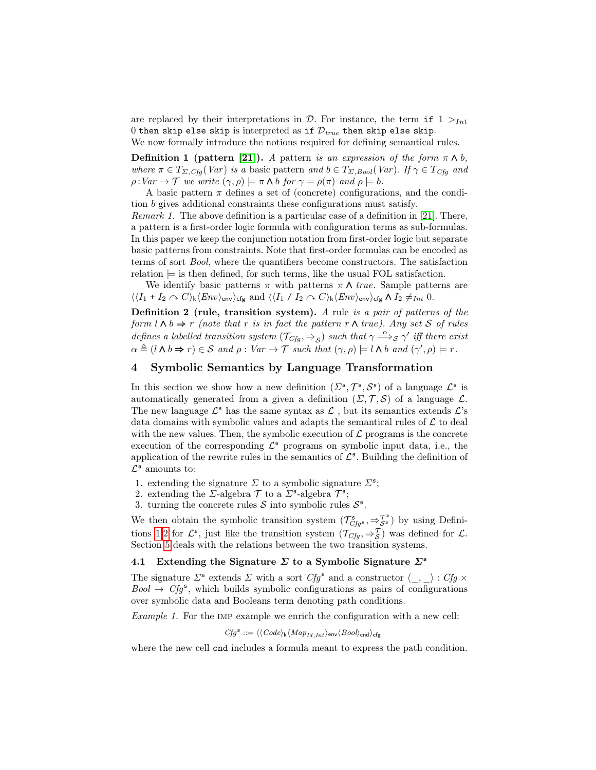are replaced by their interpretations in  $\mathcal{D}$ . For instance, the term if  $1 >_{Int}$ 0 then skip else skip is interpreted as if  $\mathcal{D}_{true}$  then skip else skip. We now formally introduce the notions required for defining semantical rules.

**Definition 1** (pattern [21]). A pattern is an expression of the form  $\pi \wedge b$ , where  $\pi \in T_{\Sigma,Cfg}(Var)$  is a basic pattern and  $b \in T_{\Sigma,Bool}(Var)$ . If  $\gamma \in T_{Cfg}$  and  $\rho: Var \to \mathcal{T}$  we write  $(\gamma, \rho) \models \pi \wedge b$  for  $\gamma = \rho(\pi)$  and  $\rho \models b$ .

A basic pattern  $\pi$  defines a set of (concrete) configurations, and the condition b gives additional constraints these configurations must satisfy.

Remark 1. The above definition is a particular case of a definition in [21]. There, a pattern is a first-order logic formula with configuration terms as sub-formulas. In this paper we keep the conjunction notation from first-order logic but separate basic patterns from constraints. Note that first-order formulas can be encoded as terms of sort Bool, where the quantifiers become constructors. The satisfaction relation  $\equiv$  is then defined, for such terms, like the usual FOL satisfaction.

We identify basic patterns  $\pi$  with patterns  $\pi \wedge true$ . Sample patterns are  $\langle \langle I_1 + I_2 \cap C \rangle_k \langle Env \rangle_{env} \rangle_{\text{cfg}}$  and  $\langle \langle I_1 / I_2 \cap C \rangle_k \langle Env \rangle_{env} \rangle_{\text{cfg}} \wedge I_2 \neq_{Int} 0.$ 

Definition 2 (rule, transition system). A rule is a pair of patterns of the form  $l \wedge b \Rightarrow r$  (note that r is in fact the pattern r  $\wedge$  true). Any set S of rules defines a labelled transition system  $(\mathcal{T}_{Cfg}, \Rightarrow_S)$  such that  $\gamma \stackrel{\alpha}{\Longrightarrow}_S \gamma'$  iff there exist  $\alpha \triangleq (l \wedge b \Rightarrow r) \in S$  and  $\rho: Var \rightarrow T$  such that  $(\gamma, \rho) \models l \wedge b$  and  $(\gamma', \rho) \models r$ .

### 4 Symbolic Semantics by Language Transformation

In this section we show how a new definition  $(\Sigma^{\mathfrak{s}}, \mathcal{T}^{\mathfrak{s}}, \mathcal{S}^{\mathfrak{s}})$  of a language  $\mathcal{L}^{\mathfrak{s}}$  is automatically generated from a given a definition  $(\Sigma, \mathcal{T}, \mathcal{S})$  of a language  $\mathcal{L}$ . The new language  $\mathcal{L}^{\mathfrak{s}}$  has the same syntax as  $\mathcal{L}$ , but its semantics extends  $\mathcal{L}$ 's data domains with symbolic values and adapts the semantical rules of  $\mathcal L$  to deal with the new values. Then, the symbolic execution of  $\mathcal L$  programs is the concrete execution of the corresponding  $\mathcal{L}^{\mathfrak{s}}$  programs on symbolic input data, i.e., the application of the rewrite rules in the semantics of  $\mathcal{L}^{\mathfrak{s}}$ . Building the definition of  $\mathcal{L}^{\mathfrak{s}}$  amounts to:

- 1. extending the signature  $\Sigma$  to a symbolic signature  $\Sigma^{\mathfrak{s}}$ ;
- 2. extending the  $\Sigma$ -algebra  $\mathcal T$  to a  $\Sigma^{\mathfrak s}$ -algebra  $\mathcal T^{\mathfrak s}$ ;
- 3. turning the concrete rules  $S$  into symbolic rules  $S^{\mathfrak{s}}$ .

We then obtain the symbolic transition system  $(\mathcal{T}_{Cfg^s}^s, \Rightarrow \mathcal{T}_{\mathcal{S}^s}^{\tau_s})$  by using Definitions 1,2 for  $\mathcal{L}^{\mathfrak{s}}$ , just like the transition system  $(\mathcal{T}_{Cfg}, \Rightarrow_{\mathcal{S}}^{\mathcal{T}})$  was defined for  $\mathcal{L}$ . Section 5 deals with the relations between the two transition systems.

#### 4.1 Extending the Signature  $\Sigma$  to a Symbolic Signature  $\Sigma^{\mathfrak{s}}$

The signature  $\Sigma^{\mathfrak{s}}$  extends  $\Sigma$  with a sort  $Cfg^{\mathfrak{s}}$  and a constructor  $\langle \_ , \_ \rangle : Cfg \times$  $Bool \rightarrow Cfg^s$ , which builds symbolic configurations as pairs of configurations over symbolic data and Booleans term denoting path conditions.

Example 1. For the imp example we enrich the configuration with a new cell:

$$
\mathit{Cfg}^{\mathfrak s}::=\langle\langle \mathit{Code}\rangle_{\mathsf{k}}\langle \mathit{Map}_{\mathit{Id},\mathit{Int}}\rangle_{\mathsf{env}}\langle \mathit{Bool}\rangle_{\mathsf{cnd}}\rangle_{\mathsf{cfg}}
$$

where the new cell cnd includes a formula meant to express the path condition.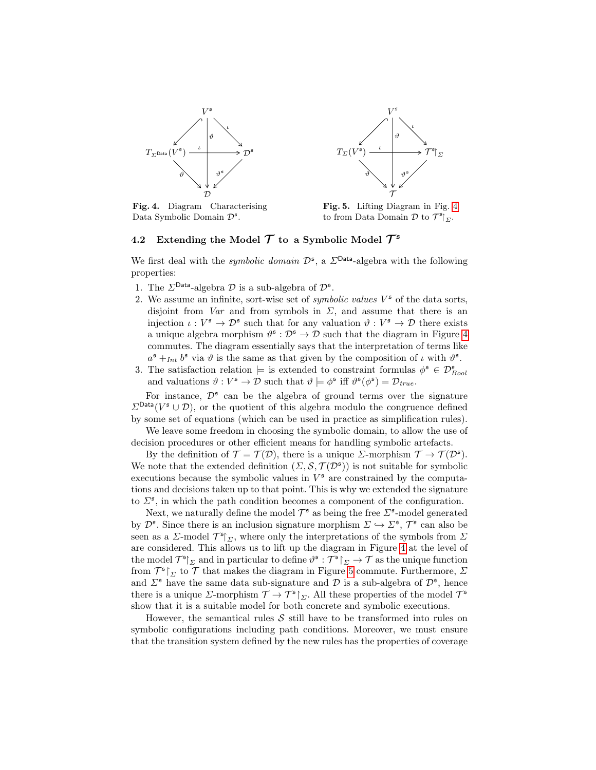

Fig. 4. Diagram Characterising Data Symbolic Domain  $\mathcal{D}^{\mathfrak{s}}$ .



Fig. 5. Lifting Diagram in Fig. 4 to from Data Domain  $\mathcal D$  to  $\mathcal T^{\mathfrak s}|_{\Sigma}$ .

### 4.2 Extending the Model  ${\cal T}$  to a Symbolic Model  ${\cal T}^{\mathfrak s}$

We first deal with the *symbolic domain*  $\mathcal{D}^{\mathfrak{s}}$ , a  $\mathcal{D}^{\mathsf{Data}}$ -algebra with the following properties:

- 1. The  $\Sigma^{\text{Data}}$ -algebra  $\mathcal D$  is a sub-algebra of  $\mathcal D^{\mathfrak s}$ .
- 2. We assume an infinite, sort-wise set of *symbolic values*  $V^{\mathfrak{s}}$  of the data sorts, disjoint from Var and from symbols in  $\Sigma$ , and assume that there is an injection  $\iota: V^{\mathfrak{s}} \to \mathcal{D}^{\mathfrak{s}}$  such that for any valuation  $\vartheta: V^{\mathfrak{s}} \to \mathcal{D}$  there exists a unique algebra morphism  $\vartheta^{\mathfrak{s}} : \mathcal{D}^{\mathfrak{s}} \to \mathcal{D}$  such that the diagram in Figure 4 commutes. The diagram essentially says that the interpretation of terms like  $a^{\mathfrak{s}} +_{Int} b^{\mathfrak{s}}$  via  $\vartheta$  is the same as that given by the composition of  $\iota$  with  $\vartheta^{\mathfrak{s}}$ .
- 3. The satisfaction relation  $\models$  is extended to constraint formulas  $\phi^{\mathfrak{s}} \in \mathcal{D}_{Bool}^{\mathfrak{s}}$ and valuations  $\vartheta : V^{\mathfrak{s}} \to \mathcal{D}$  such that  $\vartheta \models \phi^{\mathfrak{s}}$  iff  $\vartheta^{\mathfrak{s}}(\phi^{\mathfrak{s}}) = \mathcal{D}_{true}$ .

For instance,  $\mathcal{D}^{\mathfrak{s}}$  can be the algebra of ground terms over the signature  $\Sigma^{\text{Data}}(V^{\mathfrak{s}} \cup \mathcal{D})$ , or the quotient of this algebra modulo the congruence defined by some set of equations (which can be used in practice as simplification rules).

We leave some freedom in choosing the symbolic domain, to allow the use of decision procedures or other efficient means for handling symbolic artefacts.

By the definition of  $\mathcal{T} = \mathcal{T}(\mathcal{D})$ , there is a unique  $\Sigma$ -morphism  $\mathcal{T} \to \mathcal{T}(\mathcal{D}^{\mathfrak{s}})$ . We note that the extended definition  $(\Sigma, \mathcal{S}, \mathcal{T}(\mathcal{D}^{\mathfrak{s}}))$  is not suitable for symbolic executions because the symbolic values in  $V^{\mathfrak{s}}$  are constrained by the computations and decisions taken up to that point. This is why we extended the signature to  $\Sigma^{\mathfrak{s}}$ , in which the path condition becomes a component of the configuration.

Next, we naturally define the model  $\mathcal{T}^{\mathfrak{s}}$  as being the free  $\mathbb{Z}^{\mathfrak{s}}$ -model generated by  $\mathcal{D}^{\mathfrak{s}}$ . Since there is an inclusion signature morphism  $\Sigma \hookrightarrow \Sigma^{\mathfrak{s}}$ ,  $\mathcal{T}^{\mathfrak{s}}$  can also be seen as a  $\Sigma$ -model  $\mathcal{T}^{\mathfrak{s}}|_{\Sigma}$ , where only the interpretations of the symbols from  $\Sigma$ are considered. This allows us to lift up the diagram in Figure 4 at the level of the model  $\mathcal{T}^{\mathfrak{s}}|_{\Sigma}$  and in particular to define  $\vartheta^{\mathfrak{s}}: \overline{\mathcal{T}}^{\mathfrak{s}}|_{\Sigma} \to \mathcal{T}$  as the unique function from  $\mathcal{T}^{\mathfrak{s}}|_{\Sigma}$  to  $\mathcal T$  that makes the diagram in Figure 5 commute. Furthermore,  $\Sigma$ and  $\Sigma^{\mathfrak{s}}$  have the same data sub-signature and  $\mathcal{D}$  is a sub-algebra of  $\mathcal{D}^{\mathfrak{s}}$ , hence there is a unique  $\Sigma$ -morphism  $\mathcal{T} \to \mathcal{T}^{\mathfrak{s}}|_{\Sigma}$ . All these properties of the model  $\mathcal{T}^{\mathfrak{s}}$ show that it is a suitable model for both concrete and symbolic executions.

However, the semantical rules  $S$  still have to be transformed into rules on symbolic configurations including path conditions. Moreover, we must ensure that the transition system defined by the new rules has the properties of coverage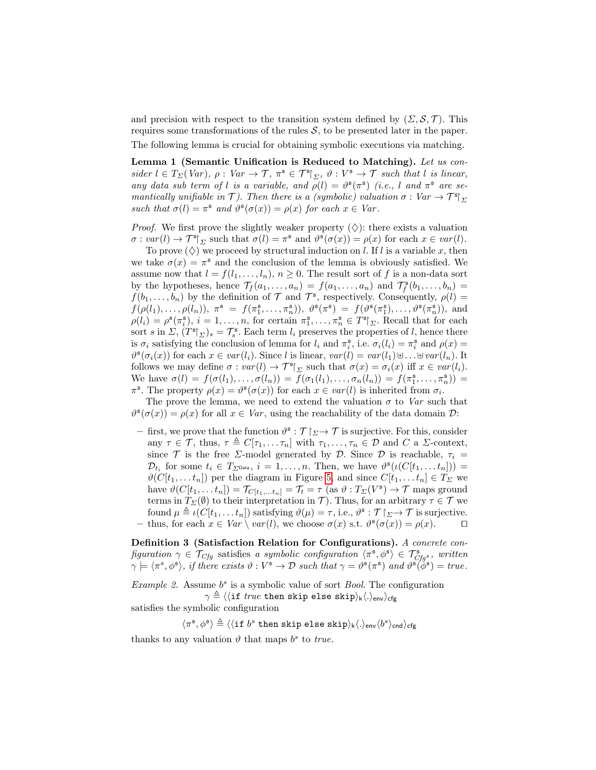and precision with respect to the transition system defined by  $(\Sigma, \mathcal{S}, \mathcal{T})$ . This requires some transformations of the rules  $S$ , to be presented later in the paper. The following lemma is crucial for obtaining symbolic executions via matching.

Lemma 1 (Semantic Unification is Reduced to Matching). Let us consider  $l \in T_{\Sigma}(Var)$ ,  $\rho: Var \to \mathcal{T}, \pi^{\mathfrak{s}} \in \mathcal{T}^{\mathfrak{s}}|_{\Sigma}, \vartheta: V^{\mathfrak{s}} \to \mathcal{T}$  such that l is linear, any data sub term of l is a variable, and  $\rho(l) = \vartheta^{\mathfrak{s}}(\pi^{\mathfrak{s}})$  (i.e., l and  $\pi^{\mathfrak{s}}$  are semantically unifiable in  $\mathcal{T}$ ). Then there is a (symbolic) valuation  $\sigma : Var \to \mathcal{T}^{\mathsf{s}}|_{\Sigma}$ such that  $\sigma(l) = \pi^5$  and  $\vartheta^5(\sigma(x)) = \rho(x)$  for each  $x \in Var$ .

*Proof.* We first prove the slightly weaker property  $(\diamondsuit)$ : there exists a valuation  $\sigma: var(l) \to \mathcal{T}^{\mathfrak{s}}|_{\Sigma}$  such that  $\sigma(l) = \pi^{\mathfrak{s}}$  and  $\vartheta^{\mathfrak{s}}(\sigma(x)) = \rho(x)$  for each  $x \in var(l)$ .

To prove  $(\diamondsuit)$  we proceed by structural induction on l. If l is a variable x, then we take  $\sigma(x) = \pi^5$  and the conclusion of the lemma is obviously satisfied. We assume now that  $l = f(l_1, \ldots, l_n)$ ,  $n \geq 0$ . The result sort of f is a non-data sort by the hypotheses, hence  $\mathcal{T}_f(a_1,\ldots,a_n) = f(a_1,\ldots,a_n)$  and  $\mathcal{T}_f^{\mathfrak{s}}(b_1,\ldots,b_n) =$  $f(b_1,\ldots,b_n)$  by the definition of  $\mathcal T$  and  $\mathcal T^s$ , respectively. Consequently,  $\rho(l)$  =  $f(\rho(l_1),\ldots,\rho(l_n)), \pi^{\mathfrak{s}} = f(\pi_1^{\mathfrak{s}},\ldots,\pi_n^{\mathfrak{s}})), \ \vartheta^{\mathfrak{s}}(\pi^{\mathfrak{s}}) = f(\vartheta^{\mathfrak{s}}(\pi_1^{\mathfrak{s}}),\ldots,\vartheta^{\mathfrak{s}}(\pi_n^{\mathfrak{s}})), \text{ and}$  $\rho(l_i) = \rho^{\mathfrak{s}}(\pi_i^{\mathfrak{s}}), i = 1, \ldots, n$ , for certain  $\pi_1^{\mathfrak{s}}, \ldots, \pi_n^{\mathfrak{s}} \in T^{\mathfrak{s}}|_{\Sigma}$ . Recall that for each sort s in  $\Sigma$ ,  $(T^{5}|_{\Sigma})_s = \mathcal{T}_s^5$ . Each term  $l_i$  preserves the properties of l, hence there is  $\sigma_i$  satisfying the conclusion of lemma for  $l_i$  and  $\pi_i^{\mathfrak{s}}$ , i.e.  $\sigma_i(l_i) = \pi_i^{\mathfrak{s}}$  and  $\rho(x) =$  $\vartheta^{\mathfrak{s}}(\sigma_i(x))$  for each  $x \in var(l_i)$ . Since l is linear,  $var(l) = var(l_1) \uplus ... \uplus var(l_n)$ . It follows we may define  $\sigma : var(l) \to \mathcal{T}^s|_{\Sigma}$  such that  $\sigma(x) = \sigma_i(x)$  iff  $x \in var(l_i)$ . We have  $\sigma(l) = f(\sigma(l_1), \ldots, \sigma(l_n)) = f(\sigma_1(l_1), \ldots, \sigma_n(l_n)) = f(\pi_1^{\mathfrak{s}}, \ldots, \pi_n^{\mathfrak{s}})) =$  $\pi^{\mathfrak{s}}$ . The property  $\rho(x) = \vartheta^{\mathfrak{s}}(\sigma(x))$  for each  $x \in var(l)$  is inherited from  $\sigma_i$ .

The prove the lemma, we need to extend the valuation  $\sigma$  to Var such that  $\vartheta^{\mathfrak{s}}(\sigma(x)) = \rho(x)$  for all  $x \in Var$ , using the reachability of the data domain  $\mathcal{D}$ :

 $-$  first, we prove that the function  $\vartheta^{\mathfrak{s}}$  :  $\mathcal{T}\upharpoonright_{\Sigma} \to \mathcal{T}$  is surjective. For this, consider any  $\tau \in \mathcal{T}$ , thus,  $\tau \triangleq C[\tau_1, \ldots \tau_n]$  with  $\tau_1, \ldots, \tau_n \in \mathcal{D}$  and  $C$  a  $\Sigma$ -context, since T is the free  $\Sigma$ -model generated by D. Since D is reachable,  $\tau_i$  =  $\mathcal{D}_{t_i}$  for some  $t_i \in T_{\Sigma^{\text{Data}}}, i = 1, \ldots, n$ . Then, we have  $\vartheta^{\mathfrak{s}}(\iota(C[t_1, \ldots t_n])) =$  $\vartheta(C[t_1, \ldots, t_n])$  per the diagram in Figure 5, and since  $C[t_1, \ldots, t_n] \in T_\Sigma$  we have  $\vartheta(C[t_1,... t_n]) = \mathcal{T}_{C[t_1,... t_n]} = \mathcal{T}_t = \tau \text{ (as } \vartheta : T_\Sigma(V^{\mathfrak{s}}) \to \mathcal{T} \text{ maps ground }$ terms in  $T_{\Sigma}(\emptyset)$  to their interpretation in  $\mathcal{T}$ ). Thus, for an arbitrary  $\tau \in \mathcal{T}$  we found  $\mu \triangleq \iota(C[t_1, \ldots t_n])$  satisfying  $\vartheta(\mu) = \tau$ , i.e.,  $\vartheta^{\mathfrak{s}} : \mathcal{T} \restriction_{\Sigma} \to \mathcal{T}$  is surjective. - thus, for each  $x \in Var \setminus var(l)$ , we choose  $\sigma(x)$  s.t.  $\vartheta^{\mathfrak{s}}(\sigma(x)) = \rho(x)$ .

Definition 3 (Satisfaction Relation for Configurations). A concrete configuration  $\gamma \in \mathcal{T}_{Cfg}$  satisfies a symbolic configuration  $\langle \pi^{\mathfrak{s}}, \phi^{\mathfrak{s}} \rangle \in \mathcal{T}_{Cfg}^{\mathfrak{s}}$ , written  $\gamma \models \langle \pi^s, \phi^{\mathfrak{s}} \rangle$ , if there exists  $\vartheta : V^{\mathfrak{s}} \to \mathcal{D}$  such that  $\gamma = \vartheta^{\mathfrak{s}}(\pi^{\mathfrak{s}})$  and  $\vartheta^{\mathfrak{s}}(\phi^{\mathfrak{s}}) = true$ .

Example 2. Assume  $b^s$  is a symbolic value of sort *Bool*. The configuration  $\gamma \triangleq \langle \langle \texttt{if} \ true \ \texttt{then} \ \texttt{skip} \ \texttt{else} \ \texttt{skip} \rangle_k \langle \ldotp \rangle_{\texttt{env}} \rangle_{\texttt{cfg}}$ 

satisfies the symbolic configuration

 $\langle\pi^\mathfrak{s},\phi^\mathfrak{s}\rangle\triangleq\langle\langle\texttt{if }b^s\texttt{ then skip } \texttt{else skip}\rangle_\textsf{k}\langle.\rangle_{\texttt{env}}\langle b^s\rangle_{\texttt{cnd}}\rangle_{\texttt{cfg}}$ 

thanks to any valuation  $\vartheta$  that maps  $b^s$  to true.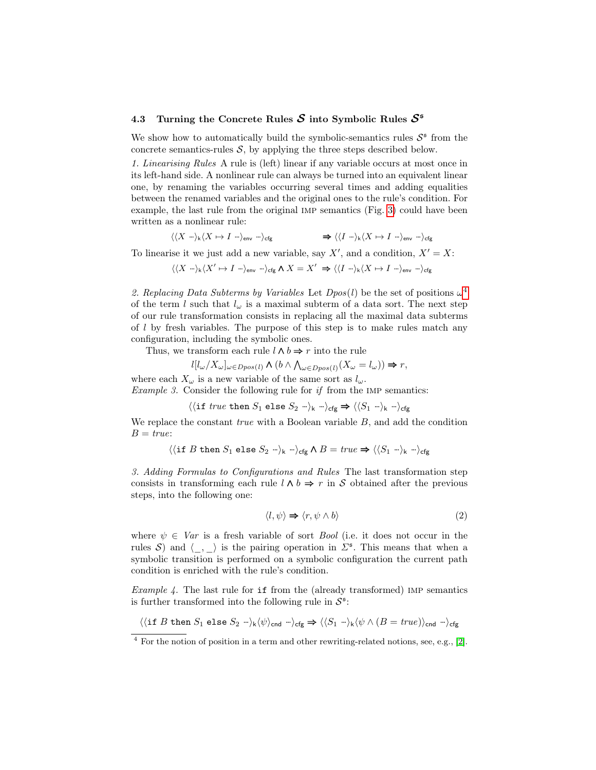### 4.3 Turning the Concrete Rules  $\mathcal S$  into Symbolic Rules  $\mathcal S^\mathfrak s$

We show how to automatically build the symbolic-semantics rules  $S^{\mathfrak{s}}$  from the concrete semantics-rules  $S$ , by applying the three steps described below.

1. Linearising Rules A rule is (left) linear if any variable occurs at most once in its left-hand side. A nonlinear rule can always be turned into an equivalent linear one, by renaming the variables occurring several times and adding equalities between the renamed variables and the original ones to the rule's condition. For example, the last rule from the original imp semantics (Fig. 3) could have been written as a nonlinear rule:

$$
\langle\langle X\ \text{--}\rangle_{\mathsf{k}}\langle X\mapsto I\ \text{--}\rangle_{\text{env}}\ \text{--}\rangle_{\text{cfg}}\qquad \qquad \Rightarrow \langle\langle I\ \text{--}\rangle_{\mathsf{k}}\langle X\mapsto I\ \text{--}\rangle_{\text{env}}\ \text{--}\rangle_{\text{cfg}}
$$

To linearise it we just add a new variable, say  $X'$ , and a condition,  $X' = X$ :

$$
\langle\langle X \; \mathbf{w}\rangle_{\mathsf{k}} \langle X' \mapsto I \; \mathbf{w}\rangle_{\mathrm{env}} \; \mathbf{w}\rangle_{\mathrm{cfg}} \; \mathbf{A} \; X = X' \; \Rightarrow \langle\langle I \; \mathbf{w}\rangle_{\mathsf{k}} \langle X \mapsto I \; \mathbf{w}\rangle_{\mathrm{env}} \; \mathbf{w}\rangle_{\mathrm{cfg}}
$$

2. Replacing Data Subterms by Variables Let  $Dpos(l)$  be the set of positions  $\omega^4$ of the term l such that  $l_{\omega}$  is a maximal subterm of a data sort. The next step of our rule transformation consists in replacing all the maximal data subterms of l by fresh variables. The purpose of this step is to make rules match any configuration, including the symbolic ones.

Thus, we transform each rule  $l \wedge b \Rightarrow r$  into the rule

$$
l[l_{\omega}/X_{\omega}]_{\omega \in Dpos(l)} \wedge (b \wedge \bigwedge_{\omega \in Dpos(l)} (X_{\omega} = l_{\omega})) \Rightarrow r,
$$

where each  $X_{\omega}$  is a new variable of the same sort as  $l_{\omega}$ .

Example 3. Consider the following rule for  $if$  from the IMP semantics:

 $\langle \langle \text{if true then } S_1 \text{ else } S_2 \cdots \rangle_k \rangle_{\text{cfg}} \Rightarrow \langle \langle S_1 \cdots \rangle_k \cdots \rangle_{\text{cfg}}$ 

We replace the constant  $true$  with a Boolean variable  $B$ , and add the condition  $B = true$ :

$$
\langle\langle \text{if } B \text{ then } S_1 \text{ else } S_2 \text{ --} \rangle_{\mathsf{k}} \text{ --} \rangle_{\text{cfg}} \land B = \mathit{true} \Rightarrow \langle\langle S_1 \text{ --} \rangle_{\mathsf{k}} \text{ --} \rangle_{\text{cfg}}
$$

3. Adding Formulas to Configurations and Rules The last transformation step consists in transforming each rule  $l \wedge b \Rightarrow r$  in S obtained after the previous steps, into the following one:

$$
\langle l, \psi \rangle \Rightarrow \langle r, \psi \wedge b \rangle \tag{2}
$$

where  $\psi \in Var$  is a fresh variable of sort *Bool* (i.e. it does not occur in the rules S) and  $\langle , \rangle$  is the pairing operation in  $\Sigma^{\mathfrak{s}}$ . This means that when a symbolic transition is performed on a symbolic configuration the current path condition is enriched with the rule's condition.

*Example 4.* The last rule for if from the (already transformed) IMP semantics is further transformed into the following rule in  $S^{\mathfrak{s}}$ :

 $\langle \langle \text{if } B \text{ then } S_1 \text{ else } S_2 \cdots \rangle_k \langle \psi \rangle_{\text{cnd}} \cdots \rangle_{\text{cfc}} \Rightarrow \langle \langle S_1 \cdots \rangle_k \langle \psi \wedge (B = true) \rangle_{\text{cnd}} \cdots \rangle_{\text{cfc}}$ 

 $4$  For the notion of position in a term and other rewriting-related notions, see, e.g., [2].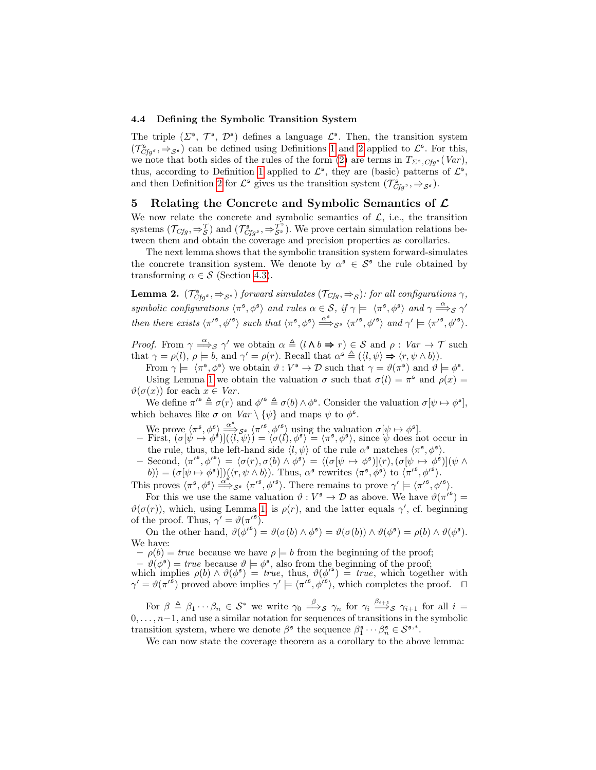#### 4.4 Defining the Symbolic Transition System

The triple  $(\Sigma^{\mathfrak{s}}, \mathcal{T}^{\mathfrak{s}}, \mathcal{D}^{\mathfrak{s}})$  defines a language  $\mathcal{L}^{\mathfrak{s}}$ . Then, the transition system  $(\mathcal{T}^{\mathfrak{s}}_{Cfg^{\mathfrak{s}}}, \Rightarrow_{\mathcal{S}^{\mathfrak{s}}})$  can be defined using Definitions 1 and 2 applied to  $\mathcal{L}^{\mathfrak{s}}$ . For this, we note that both sides of the rules of the form (2) are terms in  $T_{\Sigma^s, Cfg^s}(Var)$ , thus, according to Definition 1 applied to  $\mathcal{L}^{\mathfrak{s}}$ , they are (basic) patterns of  $\mathcal{L}^{\mathfrak{s}}$ , and then Definition 2 for  $\mathcal{L}^{\mathfrak{s}}$  gives us the transition system  $(\mathcal{T}_{Cfg^{\mathfrak{s}}}^{\mathfrak{s}}, \Rightarrow_{\mathcal{S}^{\mathfrak{s}}}).$ 

### 5 Relating the Concrete and Symbolic Semantics of  $\mathcal L$

We now relate the concrete and symbolic semantics of  $\mathcal{L}$ , i.e., the transition systems  $(\mathcal{T}_{Cfg}, \Rightarrow_S^{\mathcal{T}})$  and  $(\mathcal{T}_{Cfg^s}^s, \Rightarrow_{\mathcal{S}^s}^{\mathcal{T}^s})$ . We prove certain simulation relations between them and obtain the coverage and precision properties as corollaries.

The next lemma shows that the symbolic transition system forward-simulates the concrete transition system. We denote by  $\alpha^s \in S^s$  the rule obtained by transforming  $\alpha \in \mathcal{S}$  (Section 4.3).

**Lemma 2.**  $(\mathcal{T}^s_{Cfg^s}, \Rightarrow_{\mathcal{S}^s})$  forward simulates  $(\mathcal{T}_{Cfg}, \Rightarrow_{\mathcal{S}})$ : for all configurations  $\gamma$ , symbolic configurations  $\langle \pi^{\mathfrak{s}}, \phi^{\mathfrak{s}} \rangle$  and rules  $\alpha \in \mathcal{S}$ , if  $\gamma \models \langle \pi^{\mathfrak{s}}, \phi^{\mathfrak{s}} \rangle$  and  $\gamma \stackrel{\alpha}{\Longrightarrow} s \gamma'$ then there exists  $\langle \pi^{s}, \phi'^{\mathfrak{s}} \rangle$  such that  $\langle \pi^{\mathfrak{s}}, \phi^{\mathfrak{s}} \rangle \stackrel{\alpha^{\mathfrak{s}}}{\Longrightarrow} S^{\mathfrak{s}} \langle \pi'^{\mathfrak{s}}, \phi'^{\mathfrak{s}} \rangle$  and  $\gamma' \models \langle \pi'^{\mathfrak{s}}, \phi'^{\mathfrak{s}} \rangle$ .

*Proof.* From  $\gamma \stackrel{\alpha}{\Longrightarrow}_{\mathcal{S}} \gamma'$  we obtain  $\alpha \triangleq (l \wedge b \Rightarrow r) \in \mathcal{S}$  and  $\rho : Var \rightarrow \mathcal{T}$  such that  $\gamma = \rho(l)$ ,  $\rho \models b$ , and  $\gamma' = \rho(r)$ . Recall that  $\alpha^{\mathfrak{s}} \triangleq (\langle l, \psi \rangle \Rightarrow \langle r, \psi \wedge b \rangle)$ .

From  $\gamma \models \langle \pi^{\mathfrak{s}}, \phi^{\mathfrak{s}} \rangle$  we obtain  $\vartheta : V^{\mathfrak{s}} \to \mathcal{D}$  such that  $\gamma = \vartheta(\pi^{\mathfrak{s}})$  and  $\vartheta \models \phi^{\mathfrak{s}}$ .

Using Lemma 1 we obtain the valuation  $\sigma$  such that  $\sigma(l) = \pi^s$  and  $\rho(x) =$  $\vartheta(\sigma(x))$  for each  $x \in Var$ .

We define  $\pi'^{\mathfrak{s}} \triangleq \sigma(r)$  and  $\phi'^{\mathfrak{s}} \triangleq \sigma(b) \wedge \phi^{\mathfrak{s}}$ . Consider the valuation  $\sigma[\psi \mapsto \phi^{\mathfrak{s}}]$ , which behaves like  $\sigma$  on  $Var \setminus {\psi}$  and maps  $\psi$  to  $\phi^{\mathfrak{s}}$ .

- We prove  $\langle \pi^{\mathfrak{s}}, \phi^{\mathfrak{s}} \rangle \stackrel{\alpha^{\mathfrak{s}}}{\longrightarrow} S_{\mathfrak{s}} \langle \pi'^{\mathfrak{s}}, {\phi'}^{\mathfrak{s}} \rangle$  using the valuation  $\sigma[\psi \mapsto \phi^{\mathfrak{s}}]$ .
- First,  $(\sigma[\psi \mapsto \phi^{\sharp}](\langle \tilde{l}, \psi \rangle) = \langle \sigma(l), \phi^{\sharp} \rangle = \langle \pi^{\sharp}, \phi^{\sharp} \rangle$ , since  $\psi$  does not occur in the rule, thus, the left-hand side  $\langle l, \psi \rangle$  of the rule  $\alpha^{\mathfrak{s}}$  matches  $\langle \pi^{\mathfrak{s}}, \phi^{\mathfrak{s}} \rangle$ .

 $\mathcal{L} = \text{Second}, \ \langle {\pi'}^\mathfrak{s}, {\phi'}^\mathfrak{s} \rangle = \langle \sigma(r), \sigma(b) \land {\phi^\mathfrak{s}} \rangle = \langle (\sigma[\psi \mapsto \phi^\mathfrak{s})](r), (\sigma[\psi \mapsto {\phi^\mathfrak{s}})](\psi \land \phi)$ b)) =  $(\sigma[\psi \mapsto \phi^{\mathfrak{s}})](\langle r, \psi \wedge b \rangle)$ . Thus,  $\alpha^{\mathfrak{s}}$  rewrites  $\langle \pi^{\mathfrak{s}}, \phi^{\mathfrak{s}} \rangle$  to  $\langle \pi'^{\mathfrak{s}}, \phi'^{\mathfrak{s}} \rangle$ .

This proves  $\langle \pi^{\mathfrak{s}}, \phi^{\mathfrak{s}} \rangle \stackrel{\alpha}{\Longrightarrow} \mathcal{S}^{\mathfrak{s}} \langle \pi'^{\mathfrak{s}}, \phi'^{\mathfrak{s}} \rangle$ . There remains to prove  $\gamma' \models \langle \pi'^{\mathfrak{s}}, \phi'^{\mathfrak{s}} \rangle$ . For this we use the same valuation  $\vartheta : V^{\mathfrak{s}} \to \mathcal{D}$  as above. We have  $\vartheta(\pi'^{\mathfrak{s}}) =$ 

 $\vartheta(\sigma(r))$ , which, using Lemma 1, is  $\rho(r)$ , and the latter equals  $\gamma'$ , cf. beginning of the proof. Thus,  $\gamma' = \vartheta(\pi'^5)$ .

On the other hand,  $\vartheta(\phi'^{\mathfrak{s}}) = \vartheta(\sigma(b) \wedge \phi^{\mathfrak{s}}) = \vartheta(\sigma(b)) \wedge \vartheta(\phi^{\mathfrak{s}}) = \rho(b) \wedge \vartheta(\phi^{\mathfrak{s}})$ . We have:

 $-p(b) = true$  because we have  $\rho \models b$  from the beginning of the proof;

 $-\vartheta(\phi^{\mathfrak{s}}) = \text{true}$  because  $\vartheta \models \phi^{\mathfrak{s}},$  also from the beginning of the proof; which implies  $\rho(b) \wedge \vartheta(\phi^{\epsilon}) = true$ , thus,  $\vartheta(\phi'^{\epsilon}) = true$ , which together with  $\gamma' = \vartheta(\pi'^5)$  proved above implies  $\gamma' \models \langle \pi'^5, \phi'^5 \rangle$ , which completes the proof.  $\Box$ 

For  $\beta \triangleq \beta_1 \cdots \beta_n \in S^*$  we write  $\gamma_0 \stackrel{\beta}{\Longrightarrow}_{S} \gamma_n$  for  $\gamma_i \stackrel{\beta_{i+1}}{\Longrightarrow}_{S} \gamma_{i+1}$  for all  $i =$  $0, \ldots, n-1$ , and use a similar notation for sequences of transitions in the symbolic transition system, where we denote  $\beta^{\mathfrak{s}}$  the sequence  $\beta^{\mathfrak{s}}_1 \cdots \beta^{\mathfrak{s}}_n \in \mathcal{S}^{\mathfrak{s},*}$ .

We can now state the coverage theorem as a corollary to the above lemma: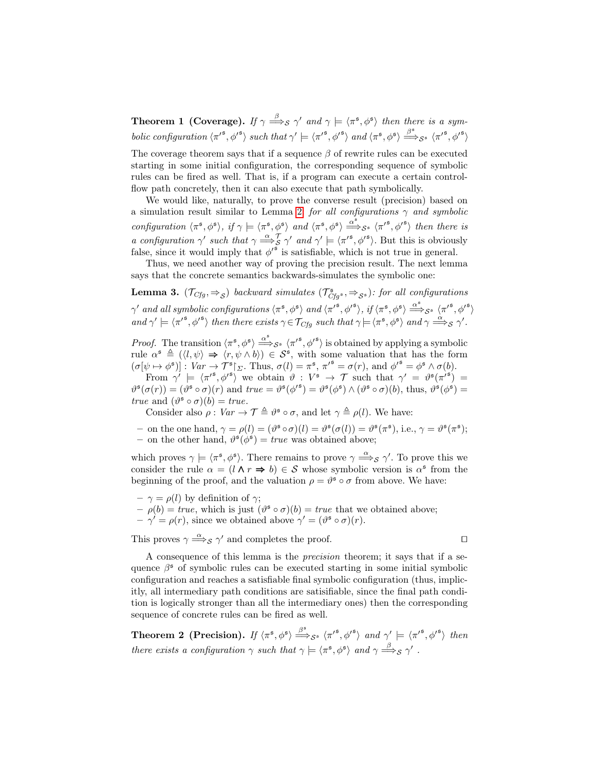**Theorem 1 (Coverage).** If  $\gamma \stackrel{\beta}{\Longrightarrow}_{S} \gamma'$  and  $\gamma \models \langle \pi^{\mathfrak{s}}, \phi^{\mathfrak{s}} \rangle$  then there is a symbolic configuration  $\langle \pi^{s}, \phi^{s} \rangle$  such that  $\gamma' \models \langle \pi^{s}, \phi^{s} \rangle$  and  $\langle \pi^{s}, \phi^{s} \rangle \stackrel{\beta^{s}}{\Longrightarrow} S^{s} \langle \pi^{s}, \phi^{s} \rangle$ 

The coverage theorem says that if a sequence  $\beta$  of rewrite rules can be executed starting in some initial configuration, the corresponding sequence of symbolic rules can be fired as well. That is, if a program can execute a certain controlflow path concretely, then it can also execute that path symbolically.

We would like, naturally, to prove the converse result (precision) based on a simulation result similar to Lemma 2: for all configurations  $\gamma$  and symbolic configuration  $\langle \pi^{\mathfrak{s}}, \phi^{\mathfrak{s}} \rangle$ , if  $\gamma \models \langle \pi^{\mathfrak{s}}, \phi^{\mathfrak{s}} \rangle$  and  $\langle \pi^{\mathfrak{s}}, \phi^{\mathfrak{s}} \rangle \stackrel{\alpha^{\mathfrak{s}}}{\Longrightarrow} S^{\mathfrak{s}} \langle \pi'^{\mathfrak{s}}, \phi'^{\mathfrak{s}} \rangle$  then there is a configuration  $\gamma'$  such that  $\gamma \stackrel{\alpha}{\Longrightarrow} \overline{\mathcal{S}} \gamma'$  and  $\gamma' \models \langle \pi'^{\mathfrak{s}}, \phi'^{\mathfrak{s}} \rangle$ . But this is obviously false, since it would imply that  $\phi'^s$  is satisfiable, which is not true in general.

Thus, we need another way of proving the precision result. The next lemma says that the concrete semantics backwards-simulates the symbolic one:

**Lemma 3.**  $(\mathcal{T}_{Cfg}, \Rightarrow_S)$  backward simulates  $(\mathcal{T}_{Cfg}^s, \Rightarrow_{\mathcal{S}^s})$ : for all configurations  $\gamma'$  and all symbolic configurations  $\langle \pi^{\mathfrak{s}}, \phi^{\mathfrak{s}} \rangle$  and  $\langle {\pi'}^{\mathfrak{s}}, {\phi'}^{\mathfrak{s}} \rangle$ , if  $\langle {\pi^{\mathfrak{s}}}, \phi^{\mathfrak{s}} \rangle \stackrel{\alpha^{\mathfrak{s}}}{\Longrightarrow} S^{\mathfrak{s}} \langle {\pi'}^{\mathfrak{s}}, {\phi'}^{\mathfrak{s}} \rangle$ and  $\gamma' \models \langle \pi'^{\mathfrak{s}}, \phi'^{\mathfrak{s}} \rangle$  then there exists  $\gamma \in \mathcal{T}_{Cfg}$  such that  $\gamma \models \langle \pi^{\mathfrak{s}}, \phi^{\mathfrak{s}} \rangle$  and  $\gamma \stackrel{\alpha}{\Longrightarrow}_{\mathcal{S}} \gamma'$ .

*Proof.* The transition  $\langle \pi^{\mathfrak{s}}, \phi^{\mathfrak{s}} \rangle \stackrel{\alpha^{\mathfrak{s}}}{\Longrightarrow} S^{\mathfrak{s}} \langle \pi'^{\mathfrak{s}}, \phi'^{\mathfrak{s}} \rangle$  is obtained by applying a symbolic rule  $\alpha^{\mathfrak{s}} \triangleq (\langle l, \psi \rangle \Rightarrow \langle r, \psi \wedge b \rangle) \in S^{\mathfrak{s}}$ , with some valuation that has the form  $(\sigma[\psi \mapsto \phi^{\mathfrak{s}})] : Var \to \mathcal{T}^{\mathfrak{s}}|_{\Sigma}$ . Thus,  $\sigma(l) = \pi^{\mathfrak{s}}, \pi^{\prime^{\mathfrak{s}}} = \sigma(r)$ , and  $\phi^{\prime^{\mathfrak{s}}} = \phi^{\mathfrak{s}} \wedge \sigma(l)$ .

From  $\gamma' \models \langle \pi^{r\mathfrak{s}}, {\phi'}^{\mathfrak{s}} \rangle$  we obtain  $\vartheta : V^{\mathfrak{s}} \to \mathcal{T}$  such that  $\gamma' = \vartheta^{\mathfrak{s}} (\pi^{r\mathfrak{s}}) =$  $\vartheta^{\mathfrak{s}}(\sigma(r)) = (\vartheta^{\mathfrak{s}} \circ \sigma)(r)$  and  $true = \vartheta^{\mathfrak{s}}(\phi'^{\mathfrak{s}}) = \vartheta^{\mathfrak{s}}(\phi^{\mathfrak{s}}) \wedge (\vartheta^{\mathfrak{s}} \circ \sigma)(b)$ , thus,  $\vartheta^{\mathfrak{s}}(\phi^{\mathfrak{s}}) =$ true and  $(\vartheta^{\mathfrak{s}} \circ \sigma)(b) = true$ .

Consider also  $\rho: Var \to \mathcal{T} \triangleq \vartheta^{\mathfrak{s}} \circ \sigma$ , and let  $\gamma \triangleq \rho(l)$ . We have:

on the one hand,  $\gamma = \rho(l) = (\vartheta^{\mathfrak{s}} \circ \sigma)(l) = \vartheta^{\mathfrak{s}}(\sigma(l)) = \vartheta^{\mathfrak{s}}(\pi^{\mathfrak{s}}),$  i.e.,  $\gamma = \vartheta^{\mathfrak{s}}(\pi^{\mathfrak{s}});$ – on the other hand,  $\vartheta^{\mathfrak{s}}(\phi^{\mathfrak{s}}) = true$  was obtained above;

which proves  $\gamma \models \langle \pi^{\mathfrak{s}}, \phi^{\mathfrak{s}} \rangle$ . There remains to prove  $\gamma \stackrel{\alpha}{\Longrightarrow}_{\mathcal{S}} \gamma'$ . To prove this we consider the rule  $\alpha = (l \land r \Rightarrow b) \in S$  whose symbolic version is  $\alpha^s$  from the beginning of the proof, and the valuation  $\rho = \vartheta^{\mathfrak{s}} \circ \sigma$  from above. We have:

 $-\gamma = \rho(l)$  by definition of  $\gamma$ ;

 $-p(b) = true$ , which is just  $(\theta^s \circ \sigma)(b) = true$  that we obtained above;  $-\gamma' = \rho(r)$ , since we obtained above  $\gamma' = (\vartheta^{\mathfrak{s}} \circ \sigma)(r)$ .

This proves  $\gamma \stackrel{\alpha}{\Longrightarrow}_{S} \gamma'$  and completes the proof.

A consequence of this lemma is the precision theorem; it says that if a sequence  $\beta^{\mathfrak{s}}$  of symbolic rules can be executed starting in some initial symbolic configuration and reaches a satisfiable final symbolic configuration (thus, implicitly, all intermediary path conditions are satisifiable, since the final path condition is logically stronger than all the intermediary ones) then the corresponding sequence of concrete rules can be fired as well.

**Theorem 2 (Precision).** If  $\langle \pi^s, \phi^s \rangle \stackrel{\beta^s}{\Longrightarrow}_{\mathcal{S}^s} \langle \pi'^s, \phi'^s \rangle$  and  $\gamma' \models \langle \pi'^s, \phi'^s \rangle$  then there exists a configuration  $\gamma$  such that  $\gamma \models \langle \pi^{\mathfrak{s}}, \phi^{\mathfrak{s}} \rangle$  and  $\gamma \stackrel{\beta}{\Longrightarrow} s \gamma'$ .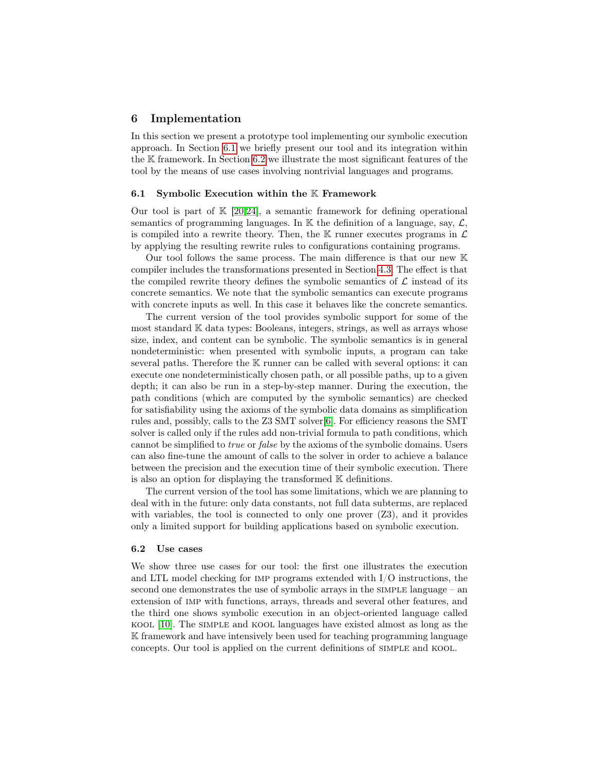### 6 Implementation

In this section we present a prototype tool implementing our symbolic execution approach. In Section 6.1 we briefly present our tool and its integration within the K framework. In Section 6.2 we illustrate the most significant features of the tool by the means of use cases involving nontrivial languages and programs.

### 6.1 Symbolic Execution within the K Framework

Our tool is part of  $K$  [20,24], a semantic framework for defining operational semantics of programming languages. In  $\mathbb K$  the definition of a language, say,  $\mathcal L$ , is compiled into a rewrite theory. Then, the  $\mathbb K$  runner executes programs in  $\mathcal L$ by applying the resulting rewrite rules to configurations containing programs.

Our tool follows the same process. The main difference is that our new K compiler includes the transformations presented in Section 4.3. The effect is that the compiled rewrite theory defines the symbolic semantics of  $\mathcal L$  instead of its concrete semantics. We note that the symbolic semantics can execute programs with concrete inputs as well. In this case it behaves like the concrete semantics.

The current version of the tool provides symbolic support for some of the most standard K data types: Booleans, integers, strings, as well as arrays whose size, index, and content can be symbolic. The symbolic semantics is in general nondeterministic: when presented with symbolic inputs, a program can take several paths. Therefore the K runner can be called with several options: it can execute one nondeterministically chosen path, or all possible paths, up to a given depth; it can also be run in a step-by-step manner. During the execution, the path conditions (which are computed by the symbolic semantics) are checked for satisfiability using the axioms of the symbolic data domains as simplification rules and, possibly, calls to the Z3 SMT solver[6]. For efficiency reasons the SMT solver is called only if the rules add non-trivial formula to path conditions, which cannot be simplified to true or false by the axioms of the symbolic domains. Users can also fine-tune the amount of calls to the solver in order to achieve a balance between the precision and the execution time of their symbolic execution. There is also an option for displaying the transformed K definitions.

The current version of the tool has some limitations, which we are planning to deal with in the future: only data constants, not full data subterms, are replaced with variables, the tool is connected to only one prover  $(Z3)$ , and it provides only a limited support for building applications based on symbolic execution.

#### 6.2 Use cases

We show three use cases for our tool: the first one illustrates the execution and LTL model checking for imp programs extended with I/O instructions, the second one demonstrates the use of symbolic arrays in the simple language – an extension of imp with functions, arrays, threads and several other features, and the third one shows symbolic execution in an object-oriented language called kool [10]. The simple and kool languages have existed almost as long as the K framework and have intensively been used for teaching programming language concepts. Our tool is applied on the current definitions of simple and kool.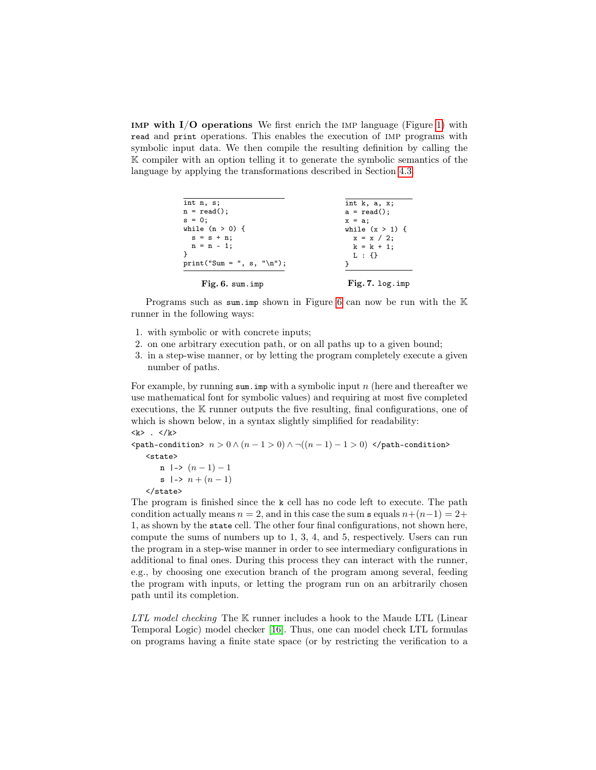**IMP with I/O operations** We first enrich the IMP language (Figure 1) with read and print operations. This enables the execution of imp programs with symbolic input data. We then compile the resulting definition by calling the K compiler with an option telling it to generate the symbolic semantics of the language by applying the transformations described in Section 4.3.



Programs such as sum. imp shown in Figure 6 can now be run with the  $K$ runner in the following ways:

- 1. with symbolic or with concrete inputs;
- 2. on one arbitrary execution path, or on all paths up to a given bound;
- 3. in a step-wise manner, or by letting the program completely execute a given number of paths.

For example, by running sum imp with a symbolic input  $n$  (here and thereafter we use mathematical font for symbolic values) and requiring at most five completed executions, the K runner outputs the five resulting, final configurations, one of which is shown below, in a syntax slightly simplified for readability:  $\langle k \rangle$  .  $\langle k \rangle$ 

```
\text{Ypath-condition>} \quad n > 0 \land (n-1 > 0) \land \neg((n-1)-1 > 0) \iff \text{Ypath-condition>}<state>
        n \mid \rightarrow (n-1) - 1s |-> n + (n - 1)</state>
```
The program is finished since the k cell has no code left to execute. The path condition actually means  $n = 2$ , and in this case the sum s equals  $n+(n-1) = 2+$ 1, as shown by the state cell. The other four final configurations, not shown here, compute the sums of numbers up to 1, 3, 4, and 5, respectively. Users can run the program in a step-wise manner in order to see intermediary configurations in additional to final ones. During this process they can interact with the runner, e.g., by choosing one execution branch of the program among several, feeding the program with inputs, or letting the program run on an arbitrarily chosen path until its completion.

LTL model checking The K runner includes a hook to the Maude LTL (Linear Temporal Logic) model checker [16]. Thus, one can model check LTL formulas on programs having a finite state space (or by restricting the verification to a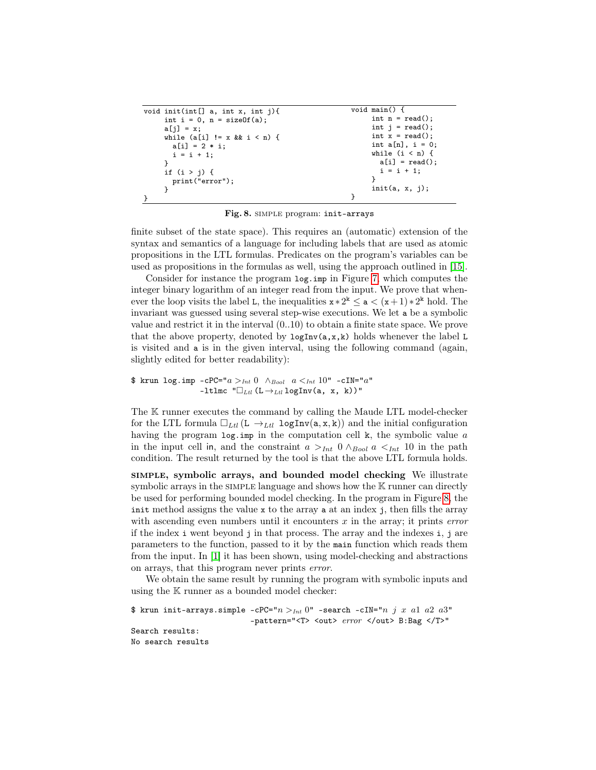| void init(int[] a, int x, int j){ | void main() $\{$    |
|-----------------------------------|---------------------|
| int $i = 0$ , $n = sizeOf(a)$ ;   | int $n = read()$ ;  |
| $a[i] = x;$                       | int $j = read()$ ;  |
| while $(a[i] := x \& k \in (n)$ { | int $x = read()$ ;  |
| $a[i] = 2 * i;$                   | int $a[n]$ , i = 0; |
| $i = i + 1$ ;                     | while $(i < n)$ {   |
|                                   | $a[i] = read()$ ;   |
| if $(i > j)$ {                    | $i = i + 1$ ;       |
| print("error");                   |                     |
|                                   | init(a, x, j);      |
|                                   |                     |

Fig. 8. simple program: init-arrays

finite subset of the state space). This requires an (automatic) extension of the syntax and semantics of a language for including labels that are used as atomic propositions in the LTL formulas. Predicates on the program's variables can be used as propositions in the formulas as well, using the approach outlined in [15].

Consider for instance the program log.imp in Figure 7, which computes the integer binary logarithm of an integer read from the input. We prove that whenever the loop visits the label L, the inequalities  $x * 2^{k} \le a < (x+1) * 2^{k}$  hold. The invariant was guessed using several step-wise executions. We let a be a symbolic value and restrict it in the interval (0..10) to obtain a finite state space. We prove that the above property, denoted by  $\texttt{logInv}(a,x,k)$  holds whenever the label L is visited and a is in the given interval, using the following command (again, slightly edited for better readability):

```
$ krun log.imp -cPC="a >_{Int} 0 \wedge_{Bool} a <_{Int} 10" -cIN="a"
                     -ltlmc "\Box_{Ltl} (L \rightarrow_{Ltl} logInv(a, x, k))"
```
The K runner executes the command by calling the Maude LTL model-checker for the LTL formula  $\Box_{Ltl}$  (L  $\rightarrow_{Ltl}$  logInv(a, x, k)) and the initial configuration having the program  $\log \text{imp}$  in the computation cell k, the symbolic value a in the input cell in, and the constraint  $a >_{Int} 0 \wedge_{Bool} a <_{Int} 10$  in the path condition. The result returned by the tool is that the above LTL formula holds.

simple, symbolic arrays, and bounded model checking We illustrate symbolic arrays in the SIMPLE language and shows how the K runner can directly be used for performing bounded model checking. In the program in Figure 8, the init method assigns the value  $x$  to the array a at an index j, then fills the array with ascending even numbers until it encounters  $x$  in the array; it prints *error* if the index i went beyond j in that process. The array and the indexes i, j are parameters to the function, passed to it by the main function which reads them from the input. In [1] it has been shown, using model-checking and abstractions on arrays, that this program never prints error.

We obtain the same result by running the program with symbolic inputs and using the K runner as a bounded model checker:

```
$ krun init-arrays.simple -cPC="n >_{Int} 0" -search -cIN="n j x a1 a2 a3"
                           -pattern="<T> <out> error </out> B:Bag </T>"
Search results:
No search results
```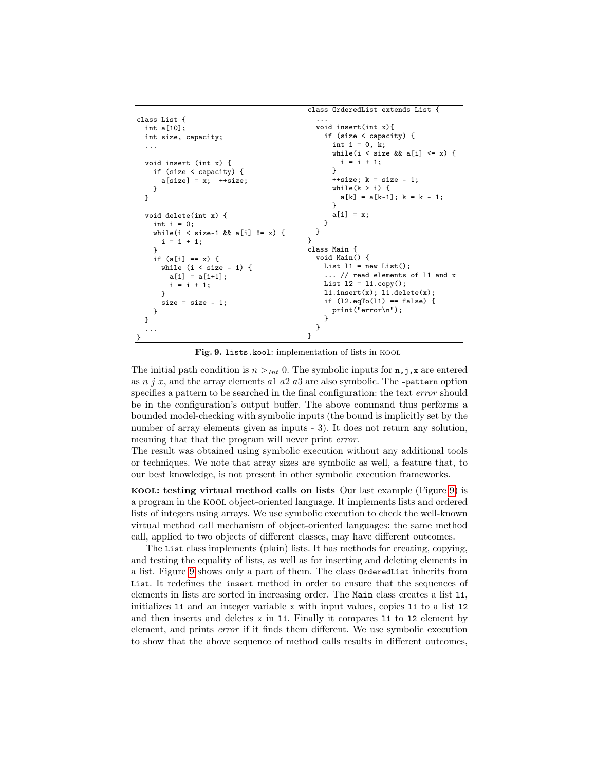```
class List {
  int a[10];
  int size, capacity;
  ...
  void insert (int x) {
    if (size < capacity) {
      a[size] = x; +isize;}
  }
  void delete(int x) {
    int i = 0;
    while(i < size-1 && a[i] != x) {
      i = i + 1;}
    if (a[i] == x) {
      while (i < size - 1) {
        a[i] = a[i+1];i = i + 1;}
      size = size - 1;}
  }
  ...
}
                                           class OrderedList extends List {
                                             ...
                                             void insert(int x){
                                               if (size < capacity) {
                                                 int i = 0, k;while(i \leq size && a[i] \leq x) {
                                                   i = i + 1:
                                                 }
                                                 +size; k = size - 1;
                                                 while(k > i) {
                                                   a[k] = a[k-1]; k = k - 1;}
                                                 a[i] = x;
                                               }
                                             }
                                           }
                                           class Main {
                                             void Main() {
                                               List 11 = new List();... // read elements of l1 and x
                                               List 12 = 11.copy();
                                               11.insert(x); 11.delete(x);if (12.eqTo(11) == false) {
                                                 print("error\n");
                                               }
                                             }
                                           }
```
Fig. 9. lists.kool: implementation of lists in kool

The initial path condition is  $n >_{Int} 0$ . The symbolic inputs for **n**, j, x are entered as  $n \, j \, x$ , and the array elements al a2 a3 are also symbolic. The -pattern option specifies a pattern to be searched in the final configuration: the text error should be in the configuration's output buffer. The above command thus performs a bounded model-checking with symbolic inputs (the bound is implicitly set by the number of array elements given as inputs - 3). It does not return any solution, meaning that that the program will never print error.

The result was obtained using symbolic execution without any additional tools or techniques. We note that array sizes are symbolic as well, a feature that, to our best knowledge, is not present in other symbolic execution frameworks.

kool: testing virtual method calls on lists Our last example (Figure 9) is a program in the kool object-oriented language. It implements lists and ordered lists of integers using arrays. We use symbolic execution to check the well-known virtual method call mechanism of object-oriented languages: the same method call, applied to two objects of different classes, may have different outcomes.

The List class implements (plain) lists. It has methods for creating, copying, and testing the equality of lists, as well as for inserting and deleting elements in a list. Figure 9 shows only a part of them. The class OrderedList inherits from List. It redefines the insert method in order to ensure that the sequences of elements in lists are sorted in increasing order. The Main class creates a list l1, initializes l1 and an integer variable x with input values, copies l1 to a list l2 and then inserts and deletes  $x$  in 11. Finally it compares 11 to 12 element by element, and prints error if it finds them different. We use symbolic execution to show that the above sequence of method calls results in different outcomes,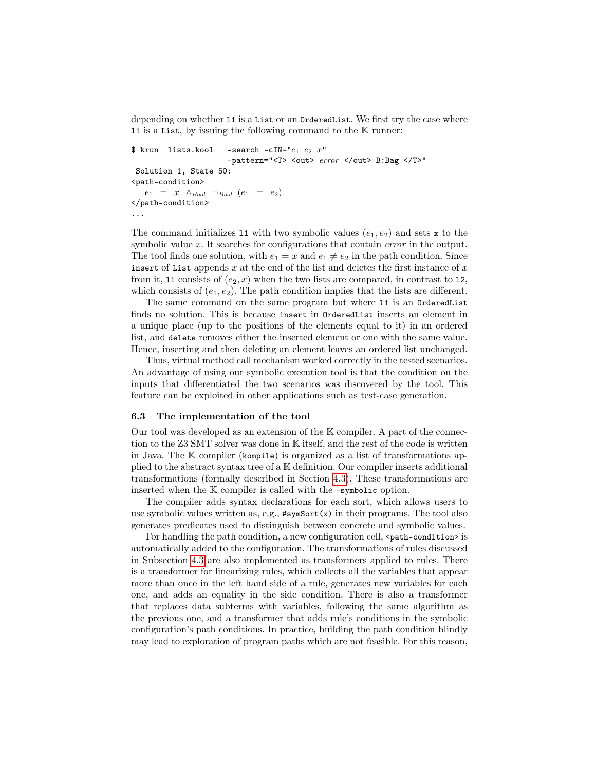depending on whether l1 is a List or an OrderedList. We first try the case where 11 is a List, by issuing the following command to the  $K$  runner:

```
\quad krun lists.kool -search -cIN="e_1 e_2 x"
                        -pattern="<T> <out> error </out> B:Bag </T>"
Solution 1, State 50:
<path-condition>
   e_1 = x \wedge_{Bool} \neg_{Bool} (e_1 = e_2)</path-condition>
...
```
The command initializes 11 with two symbolic values  $(e_1, e_2)$  and sets x to the symbolic value x. It searches for configurations that contain *error* in the output. The tool finds one solution, with  $e_1 = x$  and  $e_1 \neq e_2$  in the path condition. Since insert of List appends  $x$  at the end of the list and deletes the first instance of  $x$ from it, 11 consists of  $(e_2, x)$  when the two lists are compared, in contrast to 12, which consists of  $(e_1, e_2)$ . The path condition implies that the lists are different.

The same command on the same program but where l1 is an OrderedList finds no solution. This is because insert in OrderedList inserts an element in a unique place (up to the positions of the elements equal to it) in an ordered list, and delete removes either the inserted element or one with the same value. Hence, inserting and then deleting an element leaves an ordered list unchanged.

Thus, virtual method call mechanism worked correctly in the tested scenarios. An advantage of using our symbolic execution tool is that the condition on the inputs that differentiated the two scenarios was discovered by the tool. This feature can be exploited in other applications such as test-case generation.

### 6.3 The implementation of the tool

Our tool was developed as an extension of the K compiler. A part of the connection to the Z3 SMT solver was done in K itself, and the rest of the code is written in Java. The K compiler (kompile) is organized as a list of transformations applied to the abstract syntax tree of a K definition. Our compiler inserts additional transformations (formally described in Section 4.3). These transformations are inserted when the K compiler is called with the –symbolic option.

The compiler adds syntax declarations for each sort, which allows users to use symbolic values written as, e.g., #symSort(x) in their programs. The tool also generates predicates used to distinguish between concrete and symbolic values.

For handling the path condition, a new configuration cell,  $\epsilon$  path-condition is automatically added to the configuration. The transformations of rules discussed in Subsection 4.3 are also implemented as transformers applied to rules. There is a transformer for linearizing rules, which collects all the variables that appear more than once in the left hand side of a rule, generates new variables for each one, and adds an equality in the side condition. There is also a transformer that replaces data subterms with variables, following the same algorithm as the previous one, and a transformer that adds rule's conditions in the symbolic configuration's path conditions. In practice, building the path condition blindly may lead to exploration of program paths which are not feasible. For this reason,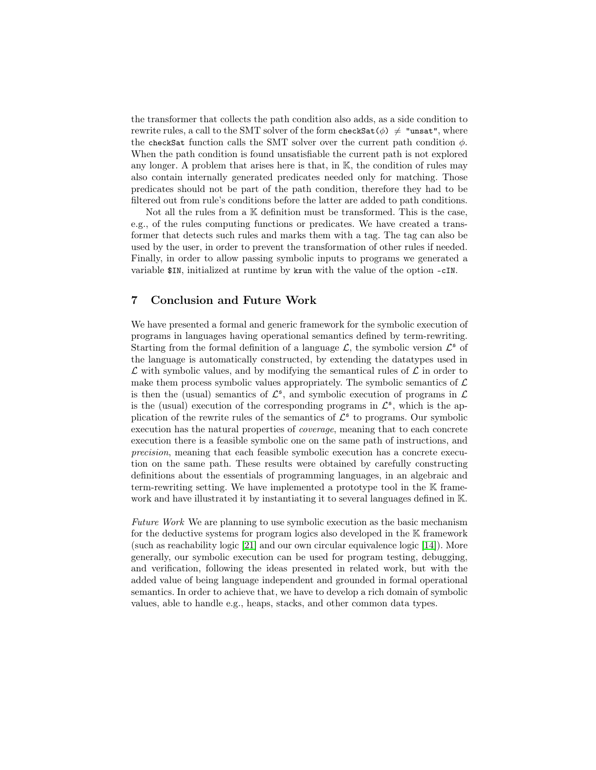the transformer that collects the path condition also adds, as a side condition to rewrite rules, a call to the SMT solver of the form checkSat $(\phi) \neq$  "unsat", where the checkSat function calls the SMT solver over the current path condition  $\phi$ . When the path condition is found unsatisfiable the current path is not explored any longer. A problem that arises here is that, in K, the condition of rules may also contain internally generated predicates needed only for matching. Those predicates should not be part of the path condition, therefore they had to be filtered out from rule's conditions before the latter are added to path conditions.

Not all the rules from a K definition must be transformed. This is the case, e.g., of the rules computing functions or predicates. We have created a transformer that detects such rules and marks them with a tag. The tag can also be used by the user, in order to prevent the transformation of other rules if needed. Finally, in order to allow passing symbolic inputs to programs we generated a variable \$IN, initialized at runtime by krun with the value of the option –cIN.

### 7 Conclusion and Future Work

We have presented a formal and generic framework for the symbolic execution of programs in languages having operational semantics defined by term-rewriting. Starting from the formal definition of a language  $\mathcal{L}$ , the symbolic version  $\mathcal{L}^{\mathfrak{s}}$  of the language is automatically constructed, by extending the datatypes used in  $\mathcal L$  with symbolic values, and by modifying the semantical rules of  $\mathcal L$  in order to make them process symbolic values appropriately. The symbolic semantics of  $\mathcal L$ is then the (usual) semantics of  $\mathcal{L}^{\mathfrak{s}}$ , and symbolic execution of programs in  $\mathcal{L}$ is the (usual) execution of the corresponding programs in  $\mathcal{L}^{\mathfrak{s}}$ , which is the application of the rewrite rules of the semantics of  $\mathcal{L}^{\mathfrak{s}}$  to programs. Our symbolic execution has the natural properties of coverage, meaning that to each concrete execution there is a feasible symbolic one on the same path of instructions, and precision, meaning that each feasible symbolic execution has a concrete execution on the same path. These results were obtained by carefully constructing definitions about the essentials of programming languages, in an algebraic and term-rewriting setting. We have implemented a prototype tool in the K framework and have illustrated it by instantiating it to several languages defined in K.

Future Work We are planning to use symbolic execution as the basic mechanism for the deductive systems for program logics also developed in the K framework (such as reachability logic [21] and our own circular equivalence logic [14]). More generally, our symbolic execution can be used for program testing, debugging, and verification, following the ideas presented in related work, but with the added value of being language independent and grounded in formal operational semantics. In order to achieve that, we have to develop a rich domain of symbolic values, able to handle e.g., heaps, stacks, and other common data types.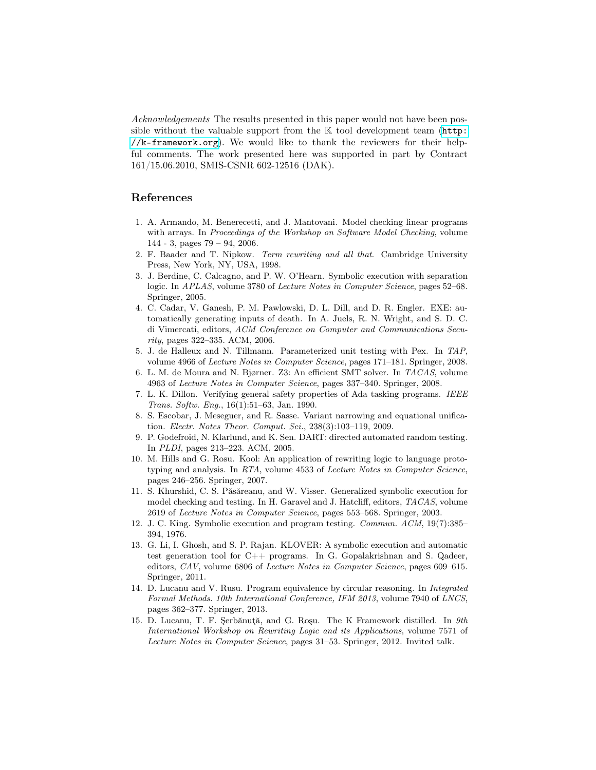Acknowledgements The results presented in this paper would not have been possible without the valuable support from the  $\mathbb K$  tool development team ([http:](http://k-framework.org) [//k-framework.org](http://k-framework.org)). We would like to thank the reviewers for their helpful comments. The work presented here was supported in part by Contract 161/15.06.2010, SMIS-CSNR 602-12516 (DAK).

### References

- 1. A. Armando, M. Benerecetti, and J. Mantovani. Model checking linear programs with arrays. In Proceedings of the Workshop on Software Model Checking, volume 144 - 3, pages 79 – 94, 2006.
- 2. F. Baader and T. Nipkow. Term rewriting and all that. Cambridge University Press, New York, NY, USA, 1998.
- 3. J. Berdine, C. Calcagno, and P. W. O'Hearn. Symbolic execution with separation logic. In APLAS, volume 3780 of Lecture Notes in Computer Science, pages 52–68. Springer, 2005.
- 4. C. Cadar, V. Ganesh, P. M. Pawlowski, D. L. Dill, and D. R. Engler. EXE: automatically generating inputs of death. In A. Juels, R. N. Wright, and S. D. C. di Vimercati, editors, ACM Conference on Computer and Communications Security, pages 322–335. ACM, 2006.
- 5. J. de Halleux and N. Tillmann. Parameterized unit testing with Pex. In TAP, volume 4966 of Lecture Notes in Computer Science, pages 171–181. Springer, 2008.
- 6. L. M. de Moura and N. Bjørner. Z3: An efficient SMT solver. In TACAS, volume 4963 of Lecture Notes in Computer Science, pages 337–340. Springer, 2008.
- 7. L. K. Dillon. Verifying general safety properties of Ada tasking programs. IEEE Trans. Softw. Eng., 16(1):51–63, Jan. 1990.
- 8. S. Escobar, J. Meseguer, and R. Sasse. Variant narrowing and equational unification. Electr. Notes Theor. Comput. Sci., 238(3):103–119, 2009.
- 9. P. Godefroid, N. Klarlund, and K. Sen. DART: directed automated random testing. In PLDI, pages 213–223. ACM, 2005.
- 10. M. Hills and G. Rosu. Kool: An application of rewriting logic to language prototyping and analysis. In RTA, volume 4533 of Lecture Notes in Computer Science, pages 246–256. Springer, 2007.
- 11. S. Khurshid, C. S. Păsăreanu, and W. Visser. Generalized symbolic execution for model checking and testing. In H. Garavel and J. Hatcliff, editors, TACAS, volume 2619 of Lecture Notes in Computer Science, pages 553–568. Springer, 2003.
- 12. J. C. King. Symbolic execution and program testing. Commun. ACM, 19(7):385– 394, 1976.
- 13. G. Li, I. Ghosh, and S. P. Rajan. KLOVER: A symbolic execution and automatic test generation tool for  $C_{++}$  programs. In G. Gopalakrishnan and S. Qadeer, editors, CAV, volume 6806 of Lecture Notes in Computer Science, pages 609–615. Springer, 2011.
- 14. D. Lucanu and V. Rusu. Program equivalence by circular reasoning. In Integrated Formal Methods. 10th International Conference, IFM 2013, volume 7940 of LNCS, pages 362–377. Springer, 2013.
- 15. D. Lucanu, T. F. Şerbănuţă, and G. Roşu. The K Framework distilled. In 9th International Workshop on Rewriting Logic and its Applications, volume 7571 of Lecture Notes in Computer Science, pages 31–53. Springer, 2012. Invited talk.